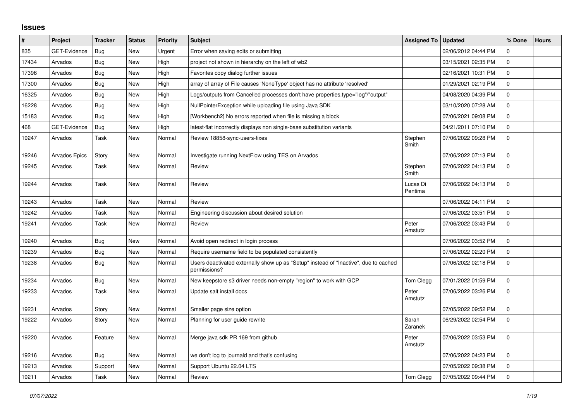## **Issues**

| $\vert$ # | Project             | <b>Tracker</b> | <b>Status</b> | <b>Priority</b> | <b>Subject</b>                                                                                       | <b>Assigned To</b>  | <b>Updated</b>      | % Done              | <b>Hours</b> |
|-----------|---------------------|----------------|---------------|-----------------|------------------------------------------------------------------------------------------------------|---------------------|---------------------|---------------------|--------------|
| 835       | GET-Evidence        | Bug            | <b>New</b>    | Urgent          | Error when saving edits or submitting                                                                |                     | 02/06/2012 04:44 PM | $\mathbf 0$         |              |
| 17434     | Arvados             | Bug            | <b>New</b>    | High            | project not shown in hierarchy on the left of wb2                                                    |                     | 03/15/2021 02:35 PM | $\mathsf 0$         |              |
| 17396     | Arvados             | Bug            | <b>New</b>    | High            | Favorites copy dialog further issues                                                                 |                     | 02/16/2021 10:31 PM | $\mathbf 0$         |              |
| 17300     | Arvados             | Bug            | <b>New</b>    | High            | array of array of File causes 'NoneType' object has no attribute 'resolved'                          |                     | 01/29/2021 02:19 PM | $\mathbf 0$         |              |
| 16325     | Arvados             | Bug            | <b>New</b>    | High            | Logs/outputs from Cancelled processes don't have properties.type="log"/"output"                      |                     | 04/08/2020 04:39 PM | $\mathbf{0}$        |              |
| 16228     | Arvados             | Bug            | <b>New</b>    | High            | NullPointerException while uploading file using Java SDK                                             |                     | 03/10/2020 07:28 AM | $\mathbf 0$         |              |
| 15183     | Arvados             | Bug            | <b>New</b>    | High            | [Workbench2] No errors reported when file is missing a block                                         |                     | 07/06/2021 09:08 PM | $\mathbf 0$         |              |
| 468       | <b>GET-Evidence</b> | Bug            | <b>New</b>    | High            | latest-flat incorrectly displays non single-base substitution variants                               |                     | 04/21/2011 07:10 PM | $\mathbf{0}$        |              |
| 19247     | Arvados             | Task           | <b>New</b>    | Normal          | Review 18858-sync-users-fixes                                                                        | Stephen<br>Smith    | 07/06/2022 09:28 PM | $\mathbf 0$         |              |
| 19246     | Arvados Epics       | Story          | <b>New</b>    | Normal          | Investigate running NextFlow using TES on Arvados                                                    |                     | 07/06/2022 07:13 PM | $\mathbf{0}$        |              |
| 19245     | Arvados             | Task           | <b>New</b>    | Normal          | Review                                                                                               | Stephen<br>Smith    | 07/06/2022 04:13 PM | $\mathbf{0}$        |              |
| 19244     | Arvados             | Task           | New           | Normal          | Review                                                                                               | Lucas Di<br>Pentima | 07/06/2022 04:13 PM | $\mathbf{0}$        |              |
| 19243     | Arvados             | Task           | <b>New</b>    | Normal          | Review                                                                                               |                     | 07/06/2022 04:11 PM | $\Omega$            |              |
| 19242     | Arvados             | Task           | New           | Normal          | Engineering discussion about desired solution                                                        |                     | 07/06/2022 03:51 PM | $\mathbf 0$         |              |
| 19241     | Arvados             | Task           | <b>New</b>    | Normal          | Review                                                                                               | Peter<br>Amstutz    | 07/06/2022 03:43 PM | $\mathbf{0}$        |              |
| 19240     | Arvados             | <b>Bug</b>     | <b>New</b>    | Normal          | Avoid open redirect in login process                                                                 |                     | 07/06/2022 03:52 PM | $\mathbf 0$         |              |
| 19239     | Arvados             | Bug            | <b>New</b>    | Normal          | Require username field to be populated consistently                                                  |                     | 07/06/2022 02:20 PM | $\mathbf{0}$        |              |
| 19238     | Arvados             | Bug            | <b>New</b>    | Normal          | Users deactivated externally show up as "Setup" instead of "Inactive", due to cached<br>permissions? |                     | 07/06/2022 02:18 PM | $\mathbf 0$         |              |
| 19234     | Arvados             | Bug            | <b>New</b>    | Normal          | New keepstore s3 driver needs non-empty "region" to work with GCP                                    | Tom Clegg           | 07/01/2022 01:59 PM | $\Omega$            |              |
| 19233     | Arvados             | Task           | <b>New</b>    | Normal          | Update salt install docs                                                                             | Peter<br>Amstutz    | 07/06/2022 03:26 PM | $\mathsf{O}\xspace$ |              |
| 19231     | Arvados             | Story          | <b>New</b>    | Normal          | Smaller page size option                                                                             |                     | 07/05/2022 09:52 PM | $\mathbf 0$         |              |
| 19222     | Arvados             | Story          | <b>New</b>    | Normal          | Planning for user guide rewrite                                                                      | Sarah<br>Zaranek    | 06/29/2022 02:54 PM | $\mathbf{0}$        |              |
| 19220     | Arvados             | Feature        | New           | Normal          | Merge java sdk PR 169 from github                                                                    | Peter<br>Amstutz    | 07/06/2022 03:53 PM | $\mathsf{O}\xspace$ |              |
| 19216     | Arvados             | Bug            | <b>New</b>    | Normal          | we don't log to journald and that's confusing                                                        |                     | 07/06/2022 04:23 PM | $\mathbf 0$         |              |
| 19213     | Arvados             | Support        | New           | Normal          | Support Ubuntu 22.04 LTS                                                                             |                     | 07/05/2022 09:38 PM | $\pmb{0}$           |              |
| 19211     | Arvados             | Task           | <b>New</b>    | Normal          | Review                                                                                               | Tom Clegg           | 07/05/2022 09:44 PM | $\mathsf{O}\xspace$ |              |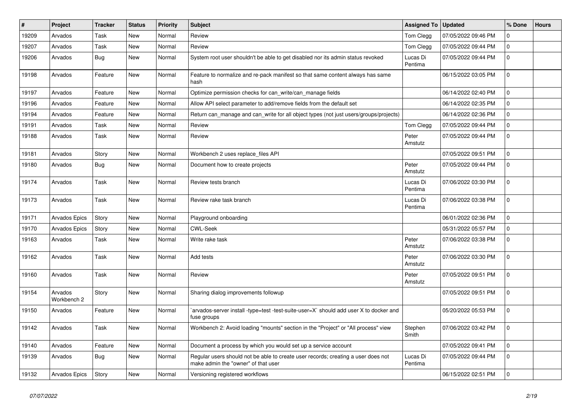| $\sharp$ | Project                | <b>Tracker</b> | <b>Status</b> | Priority | <b>Subject</b>                                                                                                           | <b>Assigned To</b>  | <b>Updated</b>      | % Done              | <b>Hours</b> |
|----------|------------------------|----------------|---------------|----------|--------------------------------------------------------------------------------------------------------------------------|---------------------|---------------------|---------------------|--------------|
| 19209    | Arvados                | Task           | <b>New</b>    | Normal   | Review                                                                                                                   | Tom Clegg           | 07/05/2022 09:46 PM | $\mathbf 0$         |              |
| 19207    | Arvados                | Task           | <b>New</b>    | Normal   | Review                                                                                                                   | Tom Clegg           | 07/05/2022 09:44 PM | $\overline{0}$      |              |
| 19206    | Arvados                | Bug            | New           | Normal   | System root user shouldn't be able to get disabled nor its admin status revoked                                          | Lucas Di<br>Pentima | 07/05/2022 09:44 PM | $\overline{0}$      |              |
| 19198    | Arvados                | Feature        | New           | Normal   | Feature to normalize and re-pack manifest so that same content always has same<br>hash                                   |                     | 06/15/2022 03:05 PM | $\overline{0}$      |              |
| 19197    | Arvados                | Feature        | <b>New</b>    | Normal   | Optimize permission checks for can write/can manage fields                                                               |                     | 06/14/2022 02:40 PM | $\Omega$            |              |
| 19196    | Arvados                | Feature        | <b>New</b>    | Normal   | Allow API select parameter to add/remove fields from the default set                                                     |                     | 06/14/2022 02:35 PM | $\overline{0}$      |              |
| 19194    | Arvados                | Feature        | <b>New</b>    | Normal   | Return can_manage and can_write for all object types (not just users/groups/projects)                                    |                     | 06/14/2022 02:36 PM | $\overline{0}$      |              |
| 19191    | Arvados                | Task           | <b>New</b>    | Normal   | Review                                                                                                                   | Tom Clegg           | 07/05/2022 09:44 PM | $\mathbf 0$         |              |
| 19188    | Arvados                | Task           | <b>New</b>    | Normal   | Review                                                                                                                   | Peter<br>Amstutz    | 07/05/2022 09:44 PM | $\mathbf 0$         |              |
| 19181    | Arvados                | Story          | <b>New</b>    | Normal   | Workbench 2 uses replace files API                                                                                       |                     | 07/05/2022 09:51 PM | $\mathbf{0}$        |              |
| 19180    | Arvados                | <b>Bug</b>     | <b>New</b>    | Normal   | Document how to create projects                                                                                          | Peter<br>Amstutz    | 07/05/2022 09:44 PM | $\overline{0}$      |              |
| 19174    | Arvados                | Task           | <b>New</b>    | Normal   | Review tests branch                                                                                                      | Lucas Di<br>Pentima | 07/06/2022 03:30 PM | $\overline{0}$      |              |
| 19173    | Arvados                | Task           | <b>New</b>    | Normal   | Review rake task branch                                                                                                  | Lucas Di<br>Pentima | 07/06/2022 03:38 PM | $\overline{0}$      |              |
| 19171    | <b>Arvados Epics</b>   | Story          | <b>New</b>    | Normal   | Playground onboarding                                                                                                    |                     | 06/01/2022 02:36 PM | $\overline{0}$      |              |
| 19170    | <b>Arvados Epics</b>   | Story          | New           | Normal   | <b>CWL-Seek</b>                                                                                                          |                     | 05/31/2022 05:57 PM | $\overline{0}$      |              |
| 19163    | Arvados                | Task           | New           | Normal   | Write rake task                                                                                                          | Peter<br>Amstutz    | 07/06/2022 03:38 PM | $\overline{0}$      |              |
| 19162    | Arvados                | Task           | <b>New</b>    | Normal   | Add tests                                                                                                                | Peter<br>Amstutz    | 07/06/2022 03:30 PM | $\mathbf{0}$        |              |
| 19160    | Arvados                | Task           | <b>New</b>    | Normal   | Review                                                                                                                   | Peter<br>Amstutz    | 07/05/2022 09:51 PM | $\mathbf{0}$        |              |
| 19154    | Arvados<br>Workbench 2 | Story          | New           | Normal   | Sharing dialog improvements followup                                                                                     |                     | 07/05/2022 09:51 PM | $\overline{0}$      |              |
| 19150    | Arvados                | Feature        | New           | Normal   | `arvados-server install -type=test -test-suite-user=X` should add user X to docker and<br>fuse groups                    |                     | 05/20/2022 05:53 PM | $\mathsf{O}\xspace$ |              |
| 19142    | Arvados                | Task           | <b>New</b>    | Normal   | Workbench 2: Avoid loading "mounts" section in the "Project" or "All process" view                                       | Stephen<br>Smith    | 07/06/2022 03:42 PM | $\mathbf 0$         |              |
| 19140    | Arvados                | Feature        | <b>New</b>    | Normal   | Document a process by which you would set up a service account                                                           |                     | 07/05/2022 09:41 PM | $\overline{0}$      |              |
| 19139    | Arvados                | <b>Bug</b>     | New           | Normal   | Regular users should not be able to create user records; creating a user does not<br>make admin the "owner" of that user | Lucas Di<br>Pentima | 07/05/2022 09:44 PM | $\mathbf 0$         |              |
| 19132    | Arvados Epics          | Story          | <b>New</b>    | Normal   | Versioning registered workflows                                                                                          |                     | 06/15/2022 02:51 PM | $\overline{0}$      |              |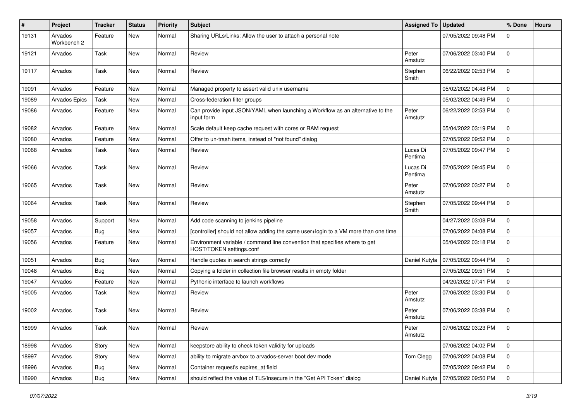| $\sharp$ | Project                | <b>Tracker</b> | <b>Status</b> | <b>Priority</b> | <b>Subject</b>                                                                                         | <b>Assigned To</b>  | <b>Updated</b>      | % Done         | <b>Hours</b> |
|----------|------------------------|----------------|---------------|-----------------|--------------------------------------------------------------------------------------------------------|---------------------|---------------------|----------------|--------------|
| 19131    | Arvados<br>Workbench 2 | Feature        | New           | Normal          | Sharing URLs/Links: Allow the user to attach a personal note                                           |                     | 07/05/2022 09:48 PM | $\mathbf 0$    |              |
| 19121    | Arvados                | Task           | New           | Normal          | Review                                                                                                 | Peter<br>Amstutz    | 07/06/2022 03:40 PM | $\mathbf 0$    |              |
| 19117    | Arvados                | Task           | <b>New</b>    | Normal          | Review                                                                                                 | Stephen<br>Smith    | 06/22/2022 02:53 PM | 0              |              |
| 19091    | Arvados                | Feature        | New           | Normal          | Managed property to assert valid unix username                                                         |                     | 05/02/2022 04:48 PM | $\overline{0}$ |              |
| 19089    | Arvados Epics          | Task           | <b>New</b>    | Normal          | Cross-federation filter groups                                                                         |                     | 05/02/2022 04:49 PM | $\mathbf 0$    |              |
| 19086    | Arvados                | Feature        | New           | Normal          | Can provide input JSON/YAML when launching a Workflow as an alternative to the<br>input form           | Peter<br>Amstutz    | 06/22/2022 02:53 PM | $\mathbf 0$    |              |
| 19082    | Arvados                | Feature        | New           | Normal          | Scale default keep cache request with cores or RAM request                                             |                     | 05/04/2022 03:19 PM | $\mathbf 0$    |              |
| 19080    | Arvados                | Feature        | <b>New</b>    | Normal          | Offer to un-trash items, instead of "not found" dialog                                                 |                     | 07/05/2022 09:52 PM | $\mathbf 0$    |              |
| 19068    | Arvados                | Task           | New           | Normal          | Review                                                                                                 | Lucas Di<br>Pentima | 07/05/2022 09:47 PM | $\overline{0}$ |              |
| 19066    | Arvados                | Task           | New           | Normal          | Review                                                                                                 | Lucas Di<br>Pentima | 07/05/2022 09:45 PM | $\overline{0}$ |              |
| 19065    | Arvados                | Task           | New           | Normal          | Review                                                                                                 | Peter<br>Amstutz    | 07/06/2022 03:27 PM | $\mathbf 0$    |              |
| 19064    | Arvados                | Task           | New           | Normal          | Review                                                                                                 | Stephen<br>Smith    | 07/05/2022 09:44 PM | $\mathbf 0$    |              |
| 19058    | Arvados                | Support        | New           | Normal          | Add code scanning to jenkins pipeline                                                                  |                     | 04/27/2022 03:08 PM | $\overline{0}$ |              |
| 19057    | Arvados                | Bug            | <b>New</b>    | Normal          | [controller] should not allow adding the same user+login to a VM more than one time                    |                     | 07/06/2022 04:08 PM | $\mathbf 0$    |              |
| 19056    | Arvados                | Feature        | New           | Normal          | Environment variable / command line convention that specifies where to get<br>HOST/TOKEN settings.conf |                     | 05/04/2022 03:18 PM | $\overline{0}$ |              |
| 19051    | Arvados                | Bug            | New           | Normal          | Handle quotes in search strings correctly                                                              | Daniel Kutyła       | 07/05/2022 09:44 PM | $\mathbf 0$    |              |
| 19048    | Arvados                | Bug            | <b>New</b>    | Normal          | Copying a folder in collection file browser results in empty folder                                    |                     | 07/05/2022 09:51 PM | 0              |              |
| 19047    | Arvados                | Feature        | <b>New</b>    | Normal          | Pythonic interface to launch workflows                                                                 |                     | 04/20/2022 07:41 PM | $\mathbf 0$    |              |
| 19005    | Arvados                | Task           | New           | Normal          | Review                                                                                                 | Peter<br>Amstutz    | 07/06/2022 03:30 PM | $\mathbf 0$    |              |
| 19002    | Arvados                | Task           | New           | Normal          | Review                                                                                                 | Peter<br>Amstutz    | 07/06/2022 03:38 PM | $\mathbf 0$    |              |
| 18999    | Arvados                | Task           | New           | Normal          | Review                                                                                                 | Peter<br>Amstutz    | 07/06/2022 03:23 PM | $\mathbf 0$    |              |
| 18998    | Arvados                | Story          | New           | Normal          | keepstore ability to check token validity for uploads                                                  |                     | 07/06/2022 04:02 PM | $\overline{0}$ |              |
| 18997    | Arvados                | Story          | New           | Normal          | ability to migrate arvbox to arvados-server boot dev mode                                              | Tom Clegg           | 07/06/2022 04:08 PM | $\overline{0}$ |              |
| 18996    | Arvados                | <b>Bug</b>     | New           | Normal          | Container request's expires_at field                                                                   |                     | 07/05/2022 09:42 PM | $\overline{0}$ |              |
| 18990    | Arvados                | <b>Bug</b>     | New           | Normal          | should reflect the value of TLS/Insecure in the "Get API Token" dialog                                 | Daniel Kutyła       | 07/05/2022 09:50 PM | $\overline{0}$ |              |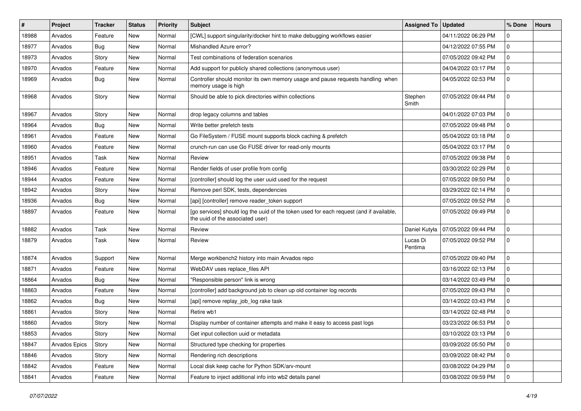| #     | <b>Project</b> | <b>Tracker</b> | <b>Status</b> | <b>Priority</b> | <b>Subject</b>                                                                                                              | <b>Assigned To</b>  | <b>Updated</b>      | % Done         | <b>Hours</b> |
|-------|----------------|----------------|---------------|-----------------|-----------------------------------------------------------------------------------------------------------------------------|---------------------|---------------------|----------------|--------------|
| 18988 | Arvados        | Feature        | New           | Normal          | [CWL] support singularity/docker hint to make debugging workflows easier                                                    |                     | 04/11/2022 06:29 PM | 0              |              |
| 18977 | Arvados        | Bug            | New           | Normal          | Mishandled Azure error?                                                                                                     |                     | 04/12/2022 07:55 PM | $\mathbf 0$    |              |
| 18973 | Arvados        | Story          | New           | Normal          | Test combinations of federation scenarios                                                                                   |                     | 07/05/2022 09:42 PM | $\mathbf 0$    |              |
| 18970 | Arvados        | Feature        | New           | Normal          | Add support for publicly shared collections (anonymous user)                                                                |                     | 04/04/2022 03:17 PM | $\mathbf 0$    |              |
| 18969 | Arvados        | Bug            | New           | Normal          | Controller should monitor its own memory usage and pause requests handling when<br>memory usage is high                     |                     | 04/05/2022 02:53 PM | 0              |              |
| 18968 | Arvados        | Story          | New           | Normal          | Should be able to pick directories within collections                                                                       | Stephen<br>Smith    | 07/05/2022 09:44 PM | $\overline{0}$ |              |
| 18967 | Arvados        | Story          | New           | Normal          | drop legacy columns and tables                                                                                              |                     | 04/01/2022 07:03 PM | $\mathbf{0}$   |              |
| 18964 | Arvados        | Bug            | New           | Normal          | Write better prefetch tests                                                                                                 |                     | 07/05/2022 09:48 PM | 0              |              |
| 18961 | Arvados        | Feature        | New           | Normal          | Go FileSystem / FUSE mount supports block caching & prefetch                                                                |                     | 05/04/2022 03:18 PM | $\mathbf 0$    |              |
| 18960 | Arvados        | Feature        | New           | Normal          | crunch-run can use Go FUSE driver for read-only mounts                                                                      |                     | 05/04/2022 03:17 PM | $\mathbf 0$    |              |
| 18951 | Arvados        | Task           | New           | Normal          | Review                                                                                                                      |                     | 07/05/2022 09:38 PM | $\overline{0}$ |              |
| 18946 | Arvados        | Feature        | New           | Normal          | Render fields of user profile from config                                                                                   |                     | 03/30/2022 02:29 PM | $\mathbf 0$    |              |
| 18944 | Arvados        | Feature        | <b>New</b>    | Normal          | [controller] should log the user uuid used for the request                                                                  |                     | 07/05/2022 09:50 PM | $\mathbf 0$    |              |
| 18942 | Arvados        | Story          | New           | Normal          | Remove perl SDK, tests, dependencies                                                                                        |                     | 03/29/2022 02:14 PM | $\mathbf 0$    |              |
| 18936 | Arvados        | <b>Bug</b>     | New           | Normal          | [api] [controller] remove reader_token support                                                                              |                     | 07/05/2022 09:52 PM | $\mathbf 0$    |              |
| 18897 | Arvados        | Feature        | New           | Normal          | [go services] should log the uuid of the token used for each request (and if available,<br>the uuid of the associated user) |                     | 07/05/2022 09:49 PM | 0              |              |
| 18882 | Arvados        | Task           | New           | Normal          | Review                                                                                                                      | Daniel Kutyła       | 07/05/2022 09:44 PM | $\mathbf 0$    |              |
| 18879 | Arvados        | Task           | New           | Normal          | Review                                                                                                                      | Lucas Di<br>Pentima | 07/05/2022 09:52 PM | 0              |              |
| 18874 | Arvados        | Support        | New           | Normal          | Merge workbench2 history into main Arvados repo                                                                             |                     | 07/05/2022 09:40 PM | $\overline{0}$ |              |
| 18871 | Arvados        | Feature        | New           | Normal          | WebDAV uses replace_files API                                                                                               |                     | 03/16/2022 02:13 PM | $\mathbf 0$    |              |
| 18864 | Arvados        | <b>Bug</b>     | New           | Normal          | "Responsible person" link is wrong                                                                                          |                     | 03/14/2022 03:49 PM | $\mathbf 0$    |              |
| 18863 | Arvados        | Feature        | New           | Normal          | [controller] add background job to clean up old container log records                                                       |                     | 07/05/2022 09:43 PM | 0              |              |
| 18862 | Arvados        | Bug            | New           | Normal          | [api] remove replay_job_log rake task                                                                                       |                     | 03/14/2022 03:43 PM | $\mathbf 0$    |              |
| 18861 | Arvados        | Story          | New           | Normal          | Retire wb1                                                                                                                  |                     | 03/14/2022 02:48 PM | $\mathbf 0$    |              |
| 18860 | Arvados        | Story          | New           | Normal          | Display number of container attempts and make it easy to access past logs                                                   |                     | 03/23/2022 06:53 PM | $\mathbf 0$    |              |
| 18853 | Arvados        | Story          | New           | Normal          | Get input collection uuid or metadata                                                                                       |                     | 03/10/2022 03:13 PM | $\overline{0}$ |              |
| 18847 | Arvados Epics  | Story          | New           | Normal          | Structured type checking for properties                                                                                     |                     | 03/09/2022 05:50 PM | $\overline{0}$ |              |
| 18846 | Arvados        | Story          | New           | Normal          | Rendering rich descriptions                                                                                                 |                     | 03/09/2022 08:42 PM | $\overline{0}$ |              |
| 18842 | Arvados        | Feature        | New           | Normal          | Local disk keep cache for Python SDK/arv-mount                                                                              |                     | 03/08/2022 04:29 PM | $\overline{0}$ |              |
| 18841 | Arvados        | Feature        | New           | Normal          | Feature to inject additional info into wb2 details panel                                                                    |                     | 03/08/2022 09:59 PM | $\overline{0}$ |              |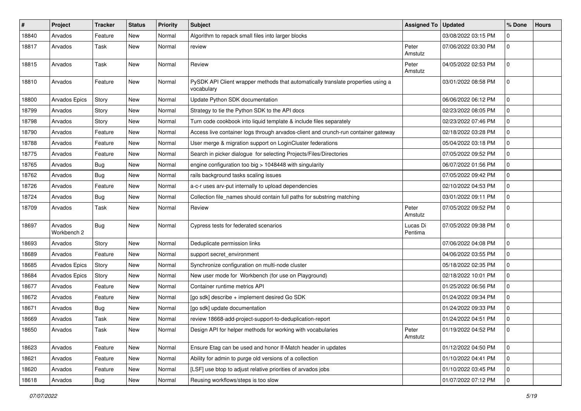| #     | Project                | <b>Tracker</b> | <b>Status</b> | <b>Priority</b> | <b>Subject</b>                                                                                 | <b>Assigned To</b>  | <b>Updated</b>      | % Done         | <b>Hours</b> |
|-------|------------------------|----------------|---------------|-----------------|------------------------------------------------------------------------------------------------|---------------------|---------------------|----------------|--------------|
| 18840 | Arvados                | Feature        | New           | Normal          | Algorithm to repack small files into larger blocks                                             |                     | 03/08/2022 03:15 PM | 0              |              |
| 18817 | Arvados                | Task           | <b>New</b>    | Normal          | review                                                                                         | Peter<br>Amstutz    | 07/06/2022 03:30 PM | $\overline{0}$ |              |
| 18815 | Arvados                | Task           | <b>New</b>    | Normal          | Review                                                                                         | Peter<br>Amstutz    | 04/05/2022 02:53 PM | $\overline{0}$ |              |
| 18810 | Arvados                | Feature        | <b>New</b>    | Normal          | PySDK API Client wrapper methods that automatically translate properties using a<br>vocabulary |                     | 03/01/2022 08:58 PM | $\mathbf 0$    |              |
| 18800 | Arvados Epics          | Story          | New           | Normal          | Update Python SDK documentation                                                                |                     | 06/06/2022 06:12 PM | $\mathbf 0$    |              |
| 18799 | Arvados                | Story          | <b>New</b>    | Normal          | Strategy to tie the Python SDK to the API docs                                                 |                     | 02/23/2022 08:05 PM | $\mathbf 0$    |              |
| 18798 | Arvados                | Story          | <b>New</b>    | Normal          | Turn code cookbook into liquid template & include files separately                             |                     | 02/23/2022 07:46 PM | $\mathbf 0$    |              |
| 18790 | Arvados                | Feature        | <b>New</b>    | Normal          | Access live container logs through arvados-client and crunch-run container gateway             |                     | 02/18/2022 03:28 PM | $\mathbf 0$    |              |
| 18788 | Arvados                | Feature        | New           | Normal          | User merge & migration support on LoginCluster federations                                     |                     | 05/04/2022 03:18 PM | $\mathbf 0$    |              |
| 18775 | Arvados                | Feature        | <b>New</b>    | Normal          | Search in picker dialogue for selecting Projects/Files/Directories                             |                     | 07/05/2022 09:52 PM | $\mathbf 0$    |              |
| 18765 | Arvados                | <b>Bug</b>     | <b>New</b>    | Normal          | engine configuration too big > 1048448 with singularity                                        |                     | 06/07/2022 01:56 PM | $\mathbf 0$    |              |
| 18762 | Arvados                | <b>Bug</b>     | <b>New</b>    | Normal          | rails background tasks scaling issues                                                          |                     | 07/05/2022 09:42 PM | $\mathbf 0$    |              |
| 18726 | Arvados                | Feature        | <b>New</b>    | Normal          | a-c-r uses arv-put internally to upload dependencies                                           |                     | 02/10/2022 04:53 PM | $\mathbf 0$    |              |
| 18724 | Arvados                | Bug            | New           | Normal          | Collection file_names should contain full paths for substring matching                         |                     | 03/01/2022 09:11 PM | $\mathbf 0$    |              |
| 18709 | Arvados                | Task           | New           | Normal          | Review                                                                                         | Peter<br>Amstutz    | 07/05/2022 09:52 PM | 0              |              |
| 18697 | Arvados<br>Workbench 2 | Bug            | <b>New</b>    | Normal          | Cypress tests for federated scenarios                                                          | Lucas Di<br>Pentima | 07/05/2022 09:38 PM | $\overline{0}$ |              |
| 18693 | Arvados                | Story          | <b>New</b>    | Normal          | Deduplicate permission links                                                                   |                     | 07/06/2022 04:08 PM | $\mathbf 0$    |              |
| 18689 | Arvados                | Feature        | <b>New</b>    | Normal          | support secret_environment                                                                     |                     | 04/06/2022 03:55 PM | $\mathbf 0$    |              |
| 18685 | Arvados Epics          | Story          | New           | Normal          | Synchronize configuration on multi-node cluster                                                |                     | 05/18/2022 02:35 PM | $\mathbf 0$    |              |
| 18684 | Arvados Epics          | Story          | <b>New</b>    | Normal          | New user mode for Workbench (for use on Playground)                                            |                     | 02/18/2022 10:01 PM | $\mathbf 0$    |              |
| 18677 | Arvados                | Feature        | <b>New</b>    | Normal          | Container runtime metrics API                                                                  |                     | 01/25/2022 06:56 PM | $\mathbf 0$    |              |
| 18672 | Arvados                | Feature        | New           | Normal          | [go sdk] describe + implement desired Go SDK                                                   |                     | 01/24/2022 09:34 PM | $\mathbf 0$    |              |
| 18671 | Arvados                | Bug            | <b>New</b>    | Normal          | [go sdk] update documentation                                                                  |                     | 01/24/2022 09:33 PM | $\overline{0}$ |              |
| 18669 | Arvados                | Task           | <b>New</b>    | Normal          | review 18668-add-project-support-to-deduplication-report                                       |                     | 01/24/2022 04:51 PM | 0              |              |
| 18650 | Arvados                | Task           | New           | Normal          | Design API for helper methods for working with vocabularies                                    | Peter<br>Amstutz    | 01/19/2022 04:52 PM | 0              |              |
| 18623 | Arvados                | Feature        | New           | Normal          | Ensure Etag can be used and honor If-Match header in updates                                   |                     | 01/12/2022 04:50 PM | $\overline{0}$ |              |
| 18621 | Arvados                | Feature        | New           | Normal          | Ability for admin to purge old versions of a collection                                        |                     | 01/10/2022 04:41 PM | $\overline{0}$ |              |
| 18620 | Arvados                | Feature        | New           | Normal          | [LSF] use btop to adjust relative priorities of arvados jobs                                   |                     | 01/10/2022 03:45 PM | $\overline{0}$ |              |
| 18618 | Arvados                | Bug            | New           | Normal          | Reusing workflows/steps is too slow                                                            |                     | 01/07/2022 07:12 PM | $\overline{0}$ |              |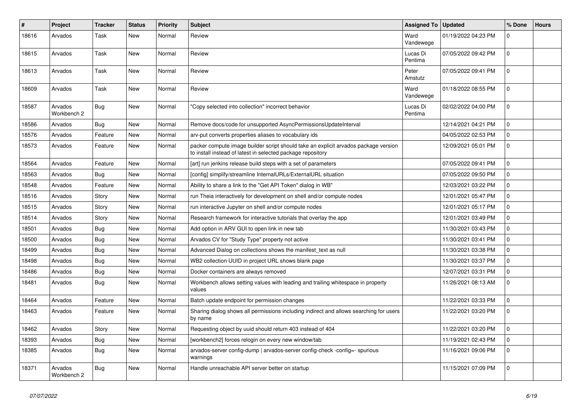| $\#$  | Project                | Tracker    | <b>Status</b> | <b>Priority</b> | <b>Subject</b>                                                                                                                                     | <b>Assigned To</b>  | <b>Updated</b>      | % Done       | <b>Hours</b> |
|-------|------------------------|------------|---------------|-----------------|----------------------------------------------------------------------------------------------------------------------------------------------------|---------------------|---------------------|--------------|--------------|
| 18616 | Arvados                | Task       | New           | Normal          | Review                                                                                                                                             | Ward<br>Vandewege   | 01/19/2022 04:23 PM | $\mathbf 0$  |              |
| 18615 | Arvados                | Task       | <b>New</b>    | Normal          | Review                                                                                                                                             | Lucas Di<br>Pentima | 07/05/2022 09:42 PM | $\Omega$     |              |
| 18613 | Arvados                | Task       | <b>New</b>    | Normal          | Review                                                                                                                                             | Peter<br>Amstutz    | 07/05/2022 09:41 PM | $\mathbf{0}$ |              |
| 18609 | Arvados                | Task       | New           | Normal          | Review                                                                                                                                             | Ward<br>Vandewege   | 01/18/2022 08:55 PM | $\mathbf{0}$ |              |
| 18587 | Arvados<br>Workbench 2 | <b>Bug</b> | <b>New</b>    | Normal          | 'Copy selected into collection" incorrect behavior                                                                                                 | Lucas Di<br>Pentima | 02/02/2022 04:00 PM | $\Omega$     |              |
| 18586 | Arvados                | Bug        | <b>New</b>    | Normal          | Remove docs/code for unsupported AsyncPermissionsUpdateInterval                                                                                    |                     | 12/14/2021 04:21 PM | $\mathbf 0$  |              |
| 18576 | Arvados                | Feature    | <b>New</b>    | Normal          | arv-put converts properties aliases to vocabulary ids                                                                                              |                     | 04/05/2022 02:53 PM | $\mathbf{0}$ |              |
| 18573 | Arvados                | Feature    | <b>New</b>    | Normal          | packer compute image builder script should take an explicit arvados package version<br>to install instead of latest in selected package repository |                     | 12/09/2021 05:01 PM | $\mathbf 0$  |              |
| 18564 | Arvados                | Feature    | <b>New</b>    | Normal          | [art] run jenkins release build steps with a set of parameters                                                                                     |                     | 07/05/2022 09:41 PM | $\mathbf 0$  |              |
| 18563 | Arvados                | Bug        | <b>New</b>    | Normal          | [config] simplify/streamline InternalURLs/ExternalURL situation                                                                                    |                     | 07/05/2022 09:50 PM | $\mathbf 0$  |              |
| 18548 | Arvados                | Feature    | <b>New</b>    | Normal          | Ability to share a link to the "Get API Token" dialog in WB"                                                                                       |                     | 12/03/2021 03:22 PM | $\mathbf 0$  |              |
| 18516 | Arvados                | Story      | <b>New</b>    | Normal          | run Theia interactively for development on shell and/or compute nodes                                                                              |                     | 12/01/2021 05:47 PM | 0            |              |
| 18515 | Arvados                | Story      | <b>New</b>    | Normal          | run interactive Jupyter on shell and/or compute nodes                                                                                              |                     | 12/01/2021 05:17 PM | $\mathbf 0$  |              |
| 18514 | Arvados                | Story      | <b>New</b>    | Normal          | Research framework for interactive tutorials that overlay the app                                                                                  |                     | 12/01/2021 03:49 PM | $\Omega$     |              |
| 18501 | Arvados                | <b>Bug</b> | <b>New</b>    | Normal          | Add option in ARV GUI to open link in new tab                                                                                                      |                     | 11/30/2021 03:43 PM | $\mathbf 0$  |              |
| 18500 | Arvados                | <b>Bug</b> | <b>New</b>    | Normal          | Arvados CV for "Study Type" property not active                                                                                                    |                     | 11/30/2021 03:41 PM | $\mathbf 0$  |              |
| 18499 | Arvados                | Bug        | <b>New</b>    | Normal          | Advanced Dialog on collections shows the manifest_text as null                                                                                     |                     | 11/30/2021 03:38 PM | $\mathbf 0$  |              |
| 18498 | Arvados                | Bug        | <b>New</b>    | Normal          | WB2 collection UUID in project URL shows blank page                                                                                                |                     | 11/30/2021 03:37 PM | $\mathbf{0}$ |              |
| 18486 | Arvados                | <b>Bug</b> | <b>New</b>    | Normal          | Docker containers are always removed                                                                                                               |                     | 12/07/2021 03:31 PM | 0            |              |
| 18481 | Arvados                | Bug        | <b>New</b>    | Normal          | Workbench allows setting values with leading and trailing whitespace in property<br>values                                                         |                     | 11/26/2021 08:13 AM | $\mathbf{0}$ |              |
| 18464 | Arvados                | Feature    | <b>New</b>    | Normal          | Batch update endpoint for permission changes                                                                                                       |                     | 11/22/2021 03:33 PM | $\mathbf 0$  |              |
| 18463 | Arvados                | Feature    | <b>New</b>    | Normal          | Sharing dialog shows all permissions including indirect and allows searching for users<br>by name                                                  |                     | 11/22/2021 03:20 PM | $\mathbf 0$  |              |
| 18462 | Arvados                | Story      | <b>New</b>    | Normal          | Requesting object by uuid should return 403 instead of 404                                                                                         |                     | 11/22/2021 03:20 PM | $\mathbf{0}$ |              |
| 18393 | Arvados                | <b>Bug</b> | <b>New</b>    | Normal          | [workbench2] forces relogin on every new window/tab                                                                                                |                     | 11/19/2021 02:43 PM | 0            |              |
| 18385 | Arvados                | Bug        | <b>New</b>    | Normal          | arvados-server config-dump   arvados-server config-check -config=- spurious<br>warnings                                                            |                     | 11/16/2021 09:06 PM | $\mathbf 0$  |              |
| 18371 | Arvados<br>Workbench 2 | Bug        | <b>New</b>    | Normal          | Handle unreachable API server better on startup                                                                                                    |                     | 11/15/2021 07:09 PM | $\mathbf 0$  |              |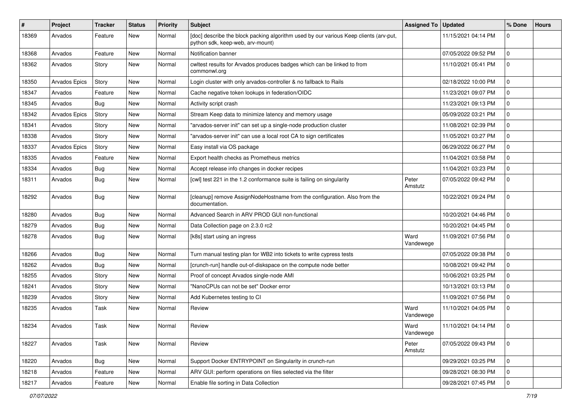| #     | Project       | <b>Tracker</b> | <b>Status</b> | Priority | Subject                                                                                                                   | <b>Assigned To</b> | <b>Updated</b>      | % Done         | <b>Hours</b> |
|-------|---------------|----------------|---------------|----------|---------------------------------------------------------------------------------------------------------------------------|--------------------|---------------------|----------------|--------------|
| 18369 | Arvados       | Feature        | New           | Normal   | [doc] describe the block packing algorithm used by our various Keep clients (arv-put,<br>python sdk, keep-web, arv-mount) |                    | 11/15/2021 04:14 PM | 0              |              |
| 18368 | Arvados       | Feature        | <b>New</b>    | Normal   | Notification banner                                                                                                       |                    | 07/05/2022 09:52 PM | $\mathbf 0$    |              |
| 18362 | Arvados       | Story          | New           | Normal   | cwltest results for Arvados produces badges which can be linked to from<br>commonwl.org                                   |                    | 11/10/2021 05:41 PM | $\mathbf 0$    |              |
| 18350 | Arvados Epics | Story          | New           | Normal   | Login cluster with only arvados-controller & no fallback to Rails                                                         |                    | 02/18/2022 10:00 PM | $\mathbf 0$    |              |
| 18347 | Arvados       | Feature        | <b>New</b>    | Normal   | Cache negative token lookups in federation/OIDC                                                                           |                    | 11/23/2021 09:07 PM | $\overline{0}$ |              |
| 18345 | Arvados       | Bug            | New           | Normal   | Activity script crash                                                                                                     |                    | 11/23/2021 09:13 PM | $\mathbf 0$    |              |
| 18342 | Arvados Epics | Story          | New           | Normal   | Stream Keep data to minimize latency and memory usage                                                                     |                    | 05/09/2022 03:21 PM | $\mathbf 0$    |              |
| 18341 | Arvados       | Story          | New           | Normal   | "arvados-server init" can set up a single-node production cluster                                                         |                    | 11/08/2021 02:39 PM | $\overline{0}$ |              |
| 18338 | Arvados       | Story          | New           | Normal   | "arvados-server init" can use a local root CA to sign certificates                                                        |                    | 11/05/2021 03:27 PM | $\mathbf 0$    |              |
| 18337 | Arvados Epics | Story          | New           | Normal   | Easy install via OS package                                                                                               |                    | 06/29/2022 06:27 PM | $\mathbf 0$    |              |
| 18335 | Arvados       | Feature        | New           | Normal   | Export health checks as Prometheus metrics                                                                                |                    | 11/04/2021 03:58 PM | $\mathbf 0$    |              |
| 18334 | Arvados       | Bug            | New           | Normal   | Accept release info changes in docker recipes                                                                             |                    | 11/04/2021 03:23 PM | $\mathbf 0$    |              |
| 18311 | Arvados       | Bug            | New           | Normal   | [cwl] test 221 in the 1.2 conformance suite is failing on singularity                                                     | Peter<br>Amstutz   | 07/05/2022 09:42 PM | $\mathbf 0$    |              |
| 18292 | Arvados       | Bug            | New           | Normal   | [cleanup] remove AssignNodeHostname from the configuration. Also from the<br>documentation.                               |                    | 10/22/2021 09:24 PM | $\mathbf 0$    |              |
| 18280 | Arvados       | <b>Bug</b>     | New           | Normal   | Advanced Search in ARV PROD GUI non-functional                                                                            |                    | 10/20/2021 04:46 PM | $\mathbf 0$    |              |
| 18279 | Arvados       | Bug            | <b>New</b>    | Normal   | Data Collection page on 2.3.0 rc2                                                                                         |                    | 10/20/2021 04:45 PM | $\mathbf 0$    |              |
| 18278 | Arvados       | Bug            | New           | Normal   | [k8s] start using an ingress                                                                                              | Ward<br>Vandewege  | 11/09/2021 07:56 PM | $\mathbf 0$    |              |
| 18266 | Arvados       | Bug            | New           | Normal   | Turn manual testing plan for WB2 into tickets to write cypress tests                                                      |                    | 07/05/2022 09:38 PM | $\mathbf 0$    |              |
| 18262 | Arvados       | Bug            | New           | Normal   | [crunch-run] handle out-of-diskspace on the compute node better                                                           |                    | 10/08/2021 09:42 PM | $\mathbf 0$    |              |
| 18255 | Arvados       | Story          | New           | Normal   | Proof of concept Arvados single-node AMI                                                                                  |                    | 10/06/2021 03:25 PM | $\mathbf 0$    |              |
| 18241 | Arvados       | Story          | New           | Normal   | "NanoCPUs can not be set" Docker error                                                                                    |                    | 10/13/2021 03:13 PM | $\mathbf 0$    |              |
| 18239 | Arvados       | Story          | New           | Normal   | Add Kubernetes testing to CI                                                                                              |                    | 11/09/2021 07:56 PM | $\mathbf 0$    |              |
| 18235 | Arvados       | Task           | New           | Normal   | Review                                                                                                                    | Ward<br>Vandewege  | 11/10/2021 04:05 PM | $\mathbf 0$    |              |
| 18234 | Arvados       | Task           | New           | Normal   | Review                                                                                                                    | Ward<br>Vandewege  | 11/10/2021 04:14 PM | $\mathbf 0$    |              |
| 18227 | Arvados       | Task           | New           | Normal   | Review                                                                                                                    | Peter<br>Amstutz   | 07/05/2022 09:43 PM | $\overline{0}$ |              |
| 18220 | Arvados       | Bug            | New           | Normal   | Support Docker ENTRYPOINT on Singularity in crunch-run                                                                    |                    | 09/29/2021 03:25 PM | $\overline{0}$ |              |
| 18218 | Arvados       | Feature        | New           | Normal   | ARV GUI: perform operations on files selected via the filter                                                              |                    | 09/28/2021 08:30 PM | $\overline{0}$ |              |
| 18217 | Arvados       | Feature        | New           | Normal   | Enable file sorting in Data Collection                                                                                    |                    | 09/28/2021 07:45 PM | $\overline{0}$ |              |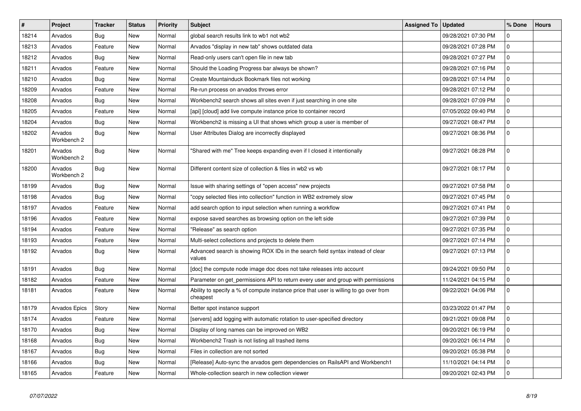| $\#$  | Project                | <b>Tracker</b> | <b>Status</b> | <b>Priority</b> | <b>Subject</b>                                                                                    | <b>Assigned To</b> | <b>Updated</b>      | % Done       | <b>Hours</b> |
|-------|------------------------|----------------|---------------|-----------------|---------------------------------------------------------------------------------------------------|--------------------|---------------------|--------------|--------------|
| 18214 | Arvados                | Bug            | <b>New</b>    | Normal          | global search results link to wb1 not wb2                                                         |                    | 09/28/2021 07:30 PM | $\mathbf 0$  |              |
| 18213 | Arvados                | Feature        | <b>New</b>    | Normal          | Arvados "display in new tab" shows outdated data                                                  |                    | 09/28/2021 07:28 PM | $\mathbf 0$  |              |
| 18212 | Arvados                | <b>Bug</b>     | <b>New</b>    | Normal          | Read-only users can't open file in new tab                                                        |                    | 09/28/2021 07:27 PM | $\mathbf 0$  |              |
| 18211 | Arvados                | Feature        | <b>New</b>    | Normal          | Should the Loading Progress bar always be shown?                                                  |                    | 09/28/2021 07:16 PM | $\mathbf{0}$ |              |
| 18210 | Arvados                | Bug            | <b>New</b>    | Normal          | Create Mountainduck Bookmark files not working                                                    |                    | 09/28/2021 07:14 PM | $\mathbf{0}$ |              |
| 18209 | Arvados                | Feature        | <b>New</b>    | Normal          | Re-run process on arvados throws error                                                            |                    | 09/28/2021 07:12 PM | $\mathbf 0$  |              |
| 18208 | Arvados                | <b>Bug</b>     | <b>New</b>    | Normal          | Workbench2 search shows all sites even if just searching in one site                              |                    | 09/28/2021 07:09 PM | $\Omega$     |              |
| 18205 | Arvados                | Feature        | New           | Normal          | [api] [cloud] add live compute instance price to container record                                 |                    | 07/05/2022 09:40 PM | $\mathbf{0}$ |              |
| 18204 | Arvados                | Bug            | <b>New</b>    | Normal          | Workbench2 is missing a UI that shows which group a user is member of                             |                    | 09/27/2021 08:47 PM | $\mathbf{0}$ |              |
| 18202 | Arvados<br>Workbench 2 | <b>Bug</b>     | <b>New</b>    | Normal          | User Attributes Dialog are incorrectly displayed                                                  |                    | 09/27/2021 08:36 PM | $\mathbf 0$  |              |
| 18201 | Arvados<br>Workbench 2 | <b>Bug</b>     | <b>New</b>    | Normal          | 'Shared with me" Tree keeps expanding even if I closed it intentionally                           |                    | 09/27/2021 08:28 PM | $\mathbf 0$  |              |
| 18200 | Arvados<br>Workbench 2 | Bug            | <b>New</b>    | Normal          | Different content size of collection & files in wb2 vs wb                                         |                    | 09/27/2021 08:17 PM | $\mathbf{0}$ |              |
| 18199 | Arvados                | Bug            | <b>New</b>    | Normal          | Issue with sharing settings of "open access" new projects                                         |                    | 09/27/2021 07:58 PM | $\mathbf 0$  |              |
| 18198 | Arvados                | Bug            | <b>New</b>    | Normal          | 'copy selected files into collection" function in WB2 extremely slow                              |                    | 09/27/2021 07:45 PM | $\mathbf{0}$ |              |
| 18197 | Arvados                | Feature        | New           | Normal          | add search option to input selection when running a workflow                                      |                    | 09/27/2021 07:41 PM | $\mathbf 0$  |              |
| 18196 | Arvados                | Feature        | <b>New</b>    | Normal          | expose saved searches as browsing option on the left side                                         |                    | 09/27/2021 07:39 PM | $\mathbf 0$  |              |
| 18194 | Arvados                | Feature        | <b>New</b>    | Normal          | 'Release" as search option                                                                        |                    | 09/27/2021 07:35 PM | $\mathbf 0$  |              |
| 18193 | Arvados                | Feature        | <b>New</b>    | Normal          | Multi-select collections and projects to delete them                                              |                    | 09/27/2021 07:14 PM | $\mathbf{0}$ |              |
| 18192 | Arvados                | <b>Bug</b>     | <b>New</b>    | Normal          | Advanced search is showing ROX IDs in the search field syntax instead of clear<br>values          |                    | 09/27/2021 07:13 PM | $\mathbf 0$  |              |
| 18191 | Arvados                | Bug            | <b>New</b>    | Normal          | [doc] the compute node image doc does not take releases into account                              |                    | 09/24/2021 09:50 PM | $\Omega$     |              |
| 18182 | Arvados                | Feature        | <b>New</b>    | Normal          | Parameter on get permissions API to return every user and group with permissions                  |                    | 11/24/2021 04:15 PM | $\mathbf{0}$ |              |
| 18181 | Arvados                | Feature        | <b>New</b>    | Normal          | Ability to specify a % of compute instance price that user is willing to go over from<br>cheapest |                    | 09/22/2021 04:06 PM | $\mathbf 0$  |              |
| 18179 | Arvados Epics          | Story          | <b>New</b>    | Normal          | Better spot instance support                                                                      |                    | 03/23/2022 01:47 PM | $\mathbf 0$  |              |
| 18174 | Arvados                | Feature        | <b>New</b>    | Normal          | [servers] add logging with automatic rotation to user-specified directory                         |                    | 09/21/2021 09:08 PM | $\mathbf 0$  |              |
| 18170 | Arvados                | Bug            | <b>New</b>    | Normal          | Display of long names can be improved on WB2                                                      |                    | 09/20/2021 06:19 PM | $\mathbf 0$  |              |
| 18168 | Arvados                | Bug            | New           | Normal          | Workbench2 Trash is not listing all trashed items                                                 |                    | 09/20/2021 06:14 PM | $\mathbf 0$  |              |
| 18167 | Arvados                | Bug            | <b>New</b>    | Normal          | Files in collection are not sorted                                                                |                    | 09/20/2021 05:38 PM | $\mathbf{0}$ |              |
| 18166 | Arvados                | Bug            | <b>New</b>    | Normal          | [Release] Auto-sync the arvados gem dependencies on RailsAPI and Workbench1                       |                    | 11/10/2021 04:14 PM | $\mathbf 0$  |              |
| 18165 | Arvados                | Feature        | <b>New</b>    | Normal          | Whole-collection search in new collection viewer                                                  |                    | 09/20/2021 02:43 PM | $\mathbf 0$  |              |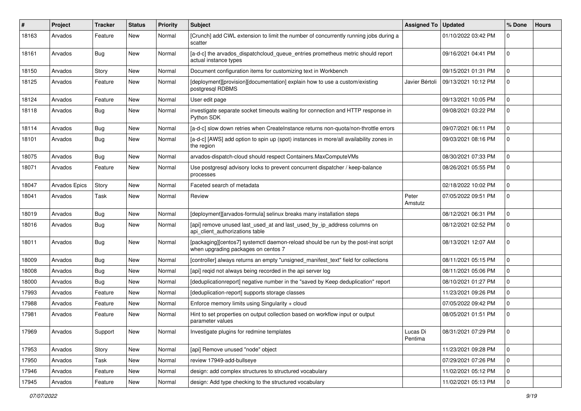| #     | Project       | <b>Tracker</b> | <b>Status</b> | <b>Priority</b> | <b>Subject</b>                                                                                                            | <b>Assigned To</b>  | <b>Updated</b>      | % Done         | <b>Hours</b> |
|-------|---------------|----------------|---------------|-----------------|---------------------------------------------------------------------------------------------------------------------------|---------------------|---------------------|----------------|--------------|
| 18163 | Arvados       | Feature        | New           | Normal          | [Crunch] add CWL extension to limit the number of concurrently running jobs during a<br>scatter                           |                     | 01/10/2022 03:42 PM | 0              |              |
| 18161 | Arvados       | Bug            | <b>New</b>    | Normal          | [a-d-c] the arvados_dispatchcloud_queue_entries prometheus metric should report<br>actual instance types                  |                     | 09/16/2021 04:41 PM | $\mathbf 0$    |              |
| 18150 | Arvados       | Story          | <b>New</b>    | Normal          | Document configuration items for customizing text in Workbench                                                            |                     | 09/15/2021 01:31 PM | $\mathbf 0$    |              |
| 18125 | Arvados       | Feature        | <b>New</b>    | Normal          | [deployment][provision][documentation] explain how to use a custom/existing<br>postgresql RDBMS                           | Javier Bértoli      | 09/13/2021 10:12 PM | $\mathbf 0$    |              |
| 18124 | Arvados       | Feature        | New           | Normal          | User edit page                                                                                                            |                     | 09/13/2021 10:05 PM | $\mathbf 0$    |              |
| 18118 | Arvados       | Bug            | New           | Normal          | investigate separate socket timeouts waiting for connection and HTTP response in<br>Python SDK                            |                     | 09/08/2021 03:22 PM | $\mathbf 0$    |              |
| 18114 | Arvados       | Bug            | New           | Normal          | [a-d-c] slow down retries when CreateInstance returns non-quota/non-throttle errors                                       |                     | 09/07/2021 06:11 PM | $\mathbf 0$    |              |
| 18101 | Arvados       | Bug            | New           | Normal          | [a-d-c] [AWS] add option to spin up (spot) instances in more/all availability zones in<br>the region                      |                     | 09/03/2021 08:16 PM | $\mathbf 0$    |              |
| 18075 | Arvados       | Bug            | <b>New</b>    | Normal          | arvados-dispatch-cloud should respect Containers.MaxComputeVMs                                                            |                     | 08/30/2021 07:33 PM | $\mathbf 0$    |              |
| 18071 | Arvados       | Feature        | <b>New</b>    | Normal          | Use postgresql advisory locks to prevent concurrent dispatcher / keep-balance<br>processes                                |                     | 08/26/2021 05:55 PM | $\mathbf 0$    |              |
| 18047 | Arvados Epics | Story          | <b>New</b>    | Normal          | Faceted search of metadata                                                                                                |                     | 02/18/2022 10:02 PM | $\mathbf 0$    |              |
| 18041 | Arvados       | Task           | <b>New</b>    | Normal          | Review                                                                                                                    | Peter<br>Amstutz    | 07/05/2022 09:51 PM | $\mathbf 0$    |              |
| 18019 | Arvados       | Bug            | <b>New</b>    | Normal          | [deployment][arvados-formula] selinux breaks many installation steps                                                      |                     | 08/12/2021 06:31 PM | $\mathbf 0$    |              |
| 18016 | Arvados       | Bug            | <b>New</b>    | Normal          | [api] remove unused last_used_at and last_used_by_ip_address columns on<br>api_client_authorizations table                |                     | 08/12/2021 02:52 PM | $\mathbf 0$    |              |
| 18011 | Arvados       | Bug            | New           | Normal          | [packaging][centos7] systemctl daemon-reload should be run by the post-inst script<br>when upgrading packages on centos 7 |                     | 08/13/2021 12:07 AM | $\mathbf 0$    |              |
| 18009 | Arvados       | Bug            | <b>New</b>    | Normal          | [controller] always returns an empty "unsigned manifest text" field for collections                                       |                     | 08/11/2021 05:15 PM | $\mathbf 0$    |              |
| 18008 | Arvados       | Bug            | New           | Normal          | [api] reqid not always being recorded in the api server log                                                               |                     | 08/11/2021 05:06 PM | $\mathbf 0$    |              |
| 18000 | Arvados       | <b>Bug</b>     | New           | Normal          | [deduplicationreport] negative number in the "saved by Keep deduplication" report                                         |                     | 08/10/2021 01:27 PM | $\mathbf 0$    |              |
| 17993 | Arvados       | Feature        | <b>New</b>    | Normal          | [deduplication-report] supports storage classes                                                                           |                     | 11/23/2021 09:26 PM | $\mathbf 0$    |              |
| 17988 | Arvados       | Feature        | <b>New</b>    | Normal          | Enforce memory limits using Singularity + cloud                                                                           |                     | 07/05/2022 09:42 PM | $\mathbf 0$    |              |
| 17981 | Arvados       | Feature        | New           | Normal          | Hint to set properties on output collection based on workflow input or output<br>parameter values                         |                     | 08/05/2021 01:51 PM | $\mathbf 0$    |              |
| 17969 | Arvados       | Support        | New           | Normal          | Investigate plugins for redmine templates                                                                                 | Lucas Di<br>Pentima | 08/31/2021 07:29 PM | $\overline{0}$ |              |
| 17953 | Arvados       | Story          | <b>New</b>    | Normal          | [api] Remove unused "node" object                                                                                         |                     | 11/23/2021 09:28 PM | l o            |              |
| 17950 | Arvados       | Task           | New           | Normal          | review 17949-add-bullseye                                                                                                 |                     | 07/29/2021 07:26 PM | $\mathbf 0$    |              |
| 17946 | Arvados       | Feature        | New           | Normal          | design: add complex structures to structured vocabulary                                                                   |                     | 11/02/2021 05:12 PM | $\mathbf 0$    |              |
| 17945 | Arvados       | Feature        | New           | Normal          | design: Add type checking to the structured vocabulary                                                                    |                     | 11/02/2021 05:13 PM | $\pmb{0}$      |              |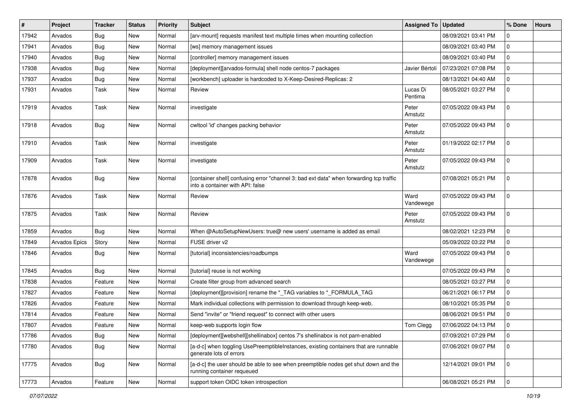| #     | Project       | <b>Tracker</b> | <b>Status</b> | Priority | <b>Subject</b>                                                                                                              | <b>Assigned To</b>  | <b>Updated</b>      | % Done       | <b>Hours</b> |
|-------|---------------|----------------|---------------|----------|-----------------------------------------------------------------------------------------------------------------------------|---------------------|---------------------|--------------|--------------|
| 17942 | Arvados       | <b>Bug</b>     | New           | Normal   | [arv-mount] requests manifest text multiple times when mounting collection                                                  |                     | 08/09/2021 03:41 PM | 0            |              |
| 17941 | Arvados       | <b>Bug</b>     | New           | Normal   | [ws] memory management issues                                                                                               |                     | 08/09/2021 03:40 PM | $\mathbf 0$  |              |
| 17940 | Arvados       | <b>Bug</b>     | New           | Normal   | [controller] memory management issues                                                                                       |                     | 08/09/2021 03:40 PM | $\mathbf 0$  |              |
| 17938 | Arvados       | <b>Bug</b>     | New           | Normal   | [deployment][arvados-formula] shell node centos-7 packages                                                                  | Javier Bértoli      | 07/23/2021 07:08 PM | $\mathbf 0$  |              |
| 17937 | Arvados       | <b>Bug</b>     | New           | Normal   | [workbench] uploader is hardcoded to X-Keep-Desired-Replicas: 2                                                             |                     | 08/13/2021 04:40 AM | $\mathbf 0$  |              |
| 17931 | Arvados       | Task           | New           | Normal   | Review                                                                                                                      | Lucas Di<br>Pentima | 08/05/2021 03:27 PM | $\mathbf 0$  |              |
| 17919 | Arvados       | Task           | New           | Normal   | investigate                                                                                                                 | Peter<br>Amstutz    | 07/05/2022 09:43 PM | $\mathbf 0$  |              |
| 17918 | Arvados       | Bug            | New           | Normal   | cwltool 'id' changes packing behavior                                                                                       | Peter<br>Amstutz    | 07/05/2022 09:43 PM | $\mathbf 0$  |              |
| 17910 | Arvados       | Task           | New           | Normal   | investigate                                                                                                                 | Peter<br>Amstutz    | 01/19/2022 02:17 PM | $\mathbf 0$  |              |
| 17909 | Arvados       | Task           | New           | Normal   | investigate                                                                                                                 | Peter<br>Amstutz    | 07/05/2022 09:43 PM | $\mathbf 0$  |              |
| 17878 | Arvados       | Bug            | New           | Normal   | [container shell] confusing error "channel 3: bad ext data" when forwarding tcp traffic<br>into a container with API: false |                     | 07/08/2021 05:21 PM | $\mathbf{0}$ |              |
| 17876 | Arvados       | Task           | New           | Normal   | Review                                                                                                                      | Ward<br>Vandewege   | 07/05/2022 09:43 PM | $\mathbf 0$  |              |
| 17875 | Arvados       | Task           | New           | Normal   | Review                                                                                                                      | Peter<br>Amstutz    | 07/05/2022 09:43 PM | $\mathbf 0$  |              |
| 17859 | Arvados       | Bug            | New           | Normal   | When @AutoSetupNewUsers: true@ new users' username is added as email                                                        |                     | 08/02/2021 12:23 PM | $\mathbf 0$  |              |
| 17849 | Arvados Epics | Story          | New           | Normal   | FUSE driver v2                                                                                                              |                     | 05/09/2022 03:22 PM | $\pmb{0}$    |              |
| 17846 | Arvados       | Bug            | New           | Normal   | [tutorial] inconsistencies/roadbumps                                                                                        | Ward<br>Vandewege   | 07/05/2022 09:43 PM | $\mathbf 0$  |              |
| 17845 | Arvados       | <b>Bug</b>     | New           | Normal   | [tutorial] reuse is not working                                                                                             |                     | 07/05/2022 09:43 PM | $\mathbf 0$  |              |
| 17838 | Arvados       | Feature        | New           | Normal   | Create filter group from advanced search                                                                                    |                     | 08/05/2021 03:27 PM | $\mathbf 0$  |              |
| 17827 | Arvados       | Feature        | New           | Normal   | [deployment][provision] rename the *_TAG variables to *_FORMULA_TAG                                                         |                     | 06/21/2021 06:17 PM | $\mathbf 0$  |              |
| 17826 | Arvados       | Feature        | New           | Normal   | Mark individual collections with permission to download through keep-web.                                                   |                     | 08/10/2021 05:35 PM | 0            |              |
| 17814 | Arvados       | Feature        | New           | Normal   | Send "invite" or "friend request" to connect with other users                                                               |                     | 08/06/2021 09:51 PM | $\mathbf 0$  |              |
| 17807 | Arvados       | Feature        | New           | Normal   | keep-web supports login flow                                                                                                | Tom Clegg           | 07/06/2022 04:13 PM | $\mathbf 0$  |              |
| 17786 | Arvados       | Bug            | New           | Normal   | [deployment][webshell][shellinabox] centos 7's shellinabox is not pam-enabled                                               |                     | 07/09/2021 07:29 PM | $\mathbf 0$  |              |
| 17780 | Arvados       | <b>Bug</b>     | New           | Normal   | [a-d-c] when toggling UsePreemptibleInstances, existing containers that are runnable<br>generate lots of errors             |                     | 07/06/2021 09:07 PM | $\mathbf 0$  |              |
| 17775 | Arvados       | <b>Bug</b>     | New           | Normal   | [a-d-c] the user should be able to see when preemptible nodes get shut down and the<br>running container requeued           |                     | 12/14/2021 09:01 PM | $\mathbf 0$  |              |
| 17773 | Arvados       | Feature        | New           | Normal   | support token OIDC token introspection                                                                                      |                     | 06/08/2021 05:21 PM | $\mathbf 0$  |              |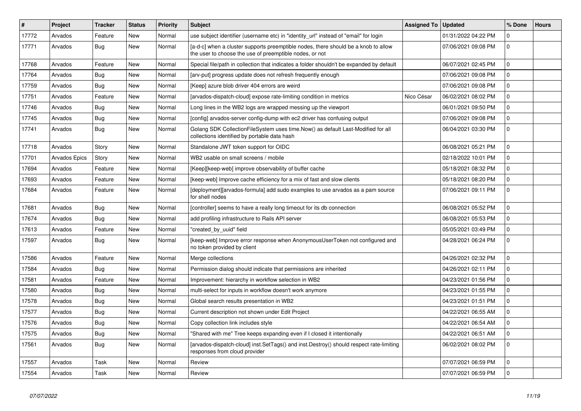| $\#$  | Project       | <b>Tracker</b> | <b>Status</b> | <b>Priority</b> | <b>Subject</b>                                                                                                                                | <b>Assigned To</b> | <b>Updated</b>      | % Done         | <b>Hours</b> |
|-------|---------------|----------------|---------------|-----------------|-----------------------------------------------------------------------------------------------------------------------------------------------|--------------------|---------------------|----------------|--------------|
| 17772 | Arvados       | Feature        | <b>New</b>    | Normal          | use subject identifier (username etc) in "identity_url" instead of "email" for login                                                          |                    | 01/31/2022 04:22 PM | $\mathbf 0$    |              |
| 17771 | Arvados       | Bug            | <b>New</b>    | Normal          | [a-d-c] when a cluster supports preemptible nodes, there should be a knob to allow<br>the user to choose the use of preemptible nodes, or not |                    | 07/06/2021 09:08 PM | $\overline{0}$ |              |
| 17768 | Arvados       | Feature        | <b>New</b>    | Normal          | Special file/path in collection that indicates a folder shouldn't be expanded by default                                                      |                    | 06/07/2021 02:45 PM | $\mathbf 0$    |              |
| 17764 | Arvados       | Bug            | <b>New</b>    | Normal          | [arv-put] progress update does not refresh frequently enough                                                                                  |                    | 07/06/2021 09:08 PM | $\overline{0}$ |              |
| 17759 | Arvados       | Bug            | <b>New</b>    | Normal          | [Keep] azure blob driver 404 errors are weird                                                                                                 |                    | 07/06/2021 09:08 PM | $\mathbf 0$    |              |
| 17751 | Arvados       | Feature        | New           | Normal          | [arvados-dispatch-cloud] expose rate-limiting condition in metrics                                                                            | Nico César         | 06/02/2021 08:02 PM | $\mathbf 0$    |              |
| 17746 | Arvados       | Bug            | <b>New</b>    | Normal          | Long lines in the WB2 logs are wrapped messing up the viewport                                                                                |                    | 06/01/2021 09:50 PM | $\mathbf 0$    |              |
| 17745 | Arvados       | <b>Bug</b>     | <b>New</b>    | Normal          | [config] arvados-server config-dump with ec2 driver has confusing output                                                                      |                    | 07/06/2021 09:08 PM | $\mathbf 0$    |              |
| 17741 | Arvados       | Bug            | <b>New</b>    | Normal          | Golang SDK CollectionFileSystem uses time.Now() as default Last-Modified for all<br>collections identified by portable data hash              |                    | 06/04/2021 03:30 PM | $\mathbf{0}$   |              |
| 17718 | Arvados       | Story          | <b>New</b>    | Normal          | Standalone JWT token support for OIDC                                                                                                         |                    | 06/08/2021 05:21 PM | $\overline{0}$ |              |
| 17701 | Arvados Epics | Story          | <b>New</b>    | Normal          | WB2 usable on small screens / mobile                                                                                                          |                    | 02/18/2022 10:01 PM | $\mathbf{0}$   |              |
| 17694 | Arvados       | Feature        | <b>New</b>    | Normal          | [Keep][keep-web] improve observability of buffer cache                                                                                        |                    | 05/18/2021 08:32 PM | $\mathbf 0$    |              |
| 17693 | Arvados       | Feature        | <b>New</b>    | Normal          | [keep-web] Improve cache efficiency for a mix of fast and slow clients                                                                        |                    | 05/18/2021 08:20 PM | $\mathbf 0$    |              |
| 17684 | Arvados       | Feature        | <b>New</b>    | Normal          | [deployment][arvados-formula] add sudo examples to use arvados as a pam source<br>for shell nodes                                             |                    | 07/06/2021 09:11 PM | $\overline{0}$ |              |
| 17681 | Arvados       | Bug            | <b>New</b>    | Normal          | [controller] seems to have a really long timeout for its db connection                                                                        |                    | 06/08/2021 05:52 PM | $\mathbf 0$    |              |
| 17674 | Arvados       | Bug            | <b>New</b>    | Normal          | add profiling infrastructure to Rails API server                                                                                              |                    | 06/08/2021 05:53 PM | $\overline{0}$ |              |
| 17613 | Arvados       | Feature        | <b>New</b>    | Normal          | 'created_by_uuid" field                                                                                                                       |                    | 05/05/2021 03:49 PM | $\mathbf{0}$   |              |
| 17597 | Arvados       | <b>Bug</b>     | <b>New</b>    | Normal          | [keep-web] Improve error response when AnonymousUserToken not configured and<br>no token provided by client                                   |                    | 04/28/2021 06:24 PM | $\Omega$       |              |
| 17586 | Arvados       | Feature        | <b>New</b>    | Normal          | Merge collections                                                                                                                             |                    | 04/26/2021 02:32 PM | $\mathbf{0}$   |              |
| 17584 | Arvados       | Bug            | <b>New</b>    | Normal          | Permission dialog should indicate that permissions are inherited                                                                              |                    | 04/26/2021 02:11 PM | $\mathbf{0}$   |              |
| 17581 | Arvados       | Feature        | <b>New</b>    | Normal          | Improvement: hierarchy in workflow selection in WB2                                                                                           |                    | 04/23/2021 01:56 PM | $\mathbf 0$    |              |
| 17580 | Arvados       | Bug            | <b>New</b>    | Normal          | multi-select for inputs in workflow doesn't work anymore                                                                                      |                    | 04/23/2021 01:55 PM | $\mathbf{0}$   |              |
| 17578 | Arvados       | <b>Bug</b>     | <b>New</b>    | Normal          | Global search results presentation in WB2                                                                                                     |                    | 04/23/2021 01:51 PM | $\mathbf{0}$   |              |
| 17577 | Arvados       | Bug            | <b>New</b>    | Normal          | Current description not shown under Edit Project                                                                                              |                    | 04/22/2021 06:55 AM | $\Omega$       |              |
| 17576 | Arvados       | Bug            | <b>New</b>    | Normal          | Copy collection link includes style                                                                                                           |                    | 04/22/2021 06:54 AM | $\mathbf 0$    |              |
| 17575 | Arvados       | Bug            | <b>New</b>    | Normal          | 'Shared with me" Tree keeps expanding even if I closed it intentionally                                                                       |                    | 04/22/2021 06:51 AM | $\overline{0}$ |              |
| 17561 | Arvados       | Bug            | New           | Normal          | [arvados-dispatch-cloud] inst.SetTags() and inst.Destroy() should respect rate-limiting<br>responses from cloud provider                      |                    | 06/02/2021 08:02 PM | $\mathbf 0$    |              |
| 17557 | Arvados       | Task           | <b>New</b>    | Normal          | Review                                                                                                                                        |                    | 07/07/2021 06:59 PM | $\overline{0}$ |              |
| 17554 | Arvados       | Task           | <b>New</b>    | Normal          | Review                                                                                                                                        |                    | 07/07/2021 06:59 PM | $\mathbf{0}$   |              |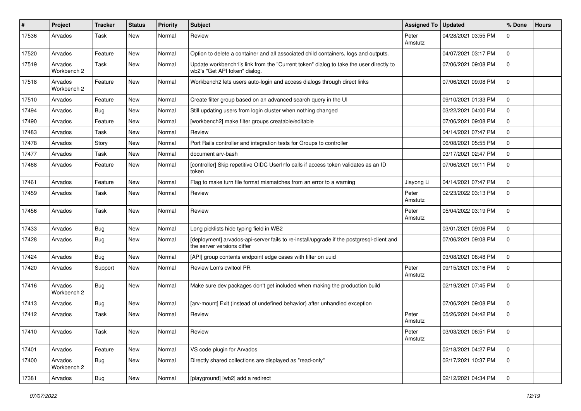| #     | Project                | <b>Tracker</b> | <b>Status</b> | Priority | <b>Subject</b>                                                                                                         | <b>Assigned To</b> | <b>Updated</b>      | % Done         | <b>Hours</b> |
|-------|------------------------|----------------|---------------|----------|------------------------------------------------------------------------------------------------------------------------|--------------------|---------------------|----------------|--------------|
| 17536 | Arvados                | Task           | <b>New</b>    | Normal   | Review                                                                                                                 | Peter<br>Amstutz   | 04/28/2021 03:55 PM | $\mathbf 0$    |              |
| 17520 | Arvados                | Feature        | <b>New</b>    | Normal   | Option to delete a container and all associated child containers, logs and outputs.                                    |                    | 04/07/2021 03:17 PM | $\mathbf 0$    |              |
| 17519 | Arvados<br>Workbench 2 | Task           | New           | Normal   | Update workbench1's link from the "Current token" dialog to take the user directly to<br>wb2's "Get API token" dialog. |                    | 07/06/2021 09:08 PM | $\mathbf 0$    |              |
| 17518 | Arvados<br>Workbench 2 | Feature        | New           | Normal   | Workbench2 lets users auto-login and access dialogs through direct links                                               |                    | 07/06/2021 09:08 PM | $\mathbf 0$    |              |
| 17510 | Arvados                | Feature        | New           | Normal   | Create filter group based on an advanced search query in the UI                                                        |                    | 09/10/2021 01:33 PM | $\mathbf 0$    |              |
| 17494 | Arvados                | <b>Bug</b>     | <b>New</b>    | Normal   | Still updating users from login cluster when nothing changed                                                           |                    | 03/22/2021 04:00 PM | $\mathbf 0$    |              |
| 17490 | Arvados                | Feature        | <b>New</b>    | Normal   | [workbench2] make filter groups creatable/editable                                                                     |                    | 07/06/2021 09:08 PM | $\mathbf 0$    |              |
| 17483 | Arvados                | Task           | <b>New</b>    | Normal   | Review                                                                                                                 |                    | 04/14/2021 07:47 PM | $\mathbf 0$    |              |
| 17478 | Arvados                | Story          | New           | Normal   | Port Rails controller and integration tests for Groups to controller                                                   |                    | 06/08/2021 05:55 PM | $\mathbf 0$    |              |
| 17477 | Arvados                | Task           | <b>New</b>    | Normal   | document arv-bash                                                                                                      |                    | 03/17/2021 02:47 PM | $\mathbf 0$    |              |
| 17468 | Arvados                | Feature        | New           | Normal   | [controller] Skip repetitive OIDC UserInfo calls if access token validates as an ID<br>token                           |                    | 07/06/2021 09:11 PM | $\mathbf 0$    |              |
| 17461 | Arvados                | Feature        | <b>New</b>    | Normal   | Flag to make turn file format mismatches from an error to a warning                                                    | Jiayong Li         | 04/14/2021 07:47 PM | $\mathbf 0$    |              |
| 17459 | Arvados                | Task           | <b>New</b>    | Normal   | Review                                                                                                                 | Peter<br>Amstutz   | 02/23/2022 03:13 PM | $\mathbf 0$    |              |
| 17456 | Arvados                | Task           | New           | Normal   | Review                                                                                                                 | Peter<br>Amstutz   | 05/04/2022 03:19 PM | $\mathbf 0$    |              |
| 17433 | Arvados                | Bug            | <b>New</b>    | Normal   | Long picklists hide typing field in WB2                                                                                |                    | 03/01/2021 09:06 PM | $\mathbf 0$    |              |
| 17428 | Arvados                | Bug            | New           | Normal   | [deployment] arvados-api-server fails to re-install/upgrade if the postgresql-client and<br>the server versions differ |                    | 07/06/2021 09:08 PM | $\mathbf 0$    |              |
| 17424 | Arvados                | Bug            | New           | Normal   | [API] group contents endpoint edge cases with filter on uuid                                                           |                    | 03/08/2021 08:48 PM | $\mathbf 0$    |              |
| 17420 | Arvados                | Support        | New           | Normal   | Review Lon's cwltool PR                                                                                                | Peter<br>Amstutz   | 09/15/2021 03:16 PM | $\mathbf 0$    |              |
| 17416 | Arvados<br>Workbench 2 | Bug            | <b>New</b>    | Normal   | Make sure dev packages don't get included when making the production build                                             |                    | 02/19/2021 07:45 PM | $\mathbf 0$    |              |
| 17413 | Arvados                | <b>Bug</b>     | <b>New</b>    | Normal   | [arv-mount] Exit (instead of undefined behavior) after unhandled exception                                             |                    | 07/06/2021 09:08 PM | 0              |              |
| 17412 | Arvados                | Task           | <b>New</b>    | Normal   | Review                                                                                                                 | Peter<br>Amstutz   | 05/26/2021 04:42 PM | $\mathbf 0$    |              |
| 17410 | Arvados                | Task           | New           | Normal   | Review                                                                                                                 | Peter<br>Amstutz   | 03/03/2021 06:51 PM | 10             |              |
| 17401 | Arvados                | Feature        | New           | Normal   | VS code plugin for Arvados                                                                                             |                    | 02/18/2021 04:27 PM | $\overline{0}$ |              |
| 17400 | Arvados<br>Workbench 2 | Bug            | New           | Normal   | Directly shared collections are displayed as "read-only"                                                               |                    | 02/17/2021 10:37 PM | $\mathbf 0$    |              |
| 17381 | Arvados                | <b>Bug</b>     | New           | Normal   | [playground] [wb2] add a redirect                                                                                      |                    | 02/12/2021 04:34 PM | $\overline{0}$ |              |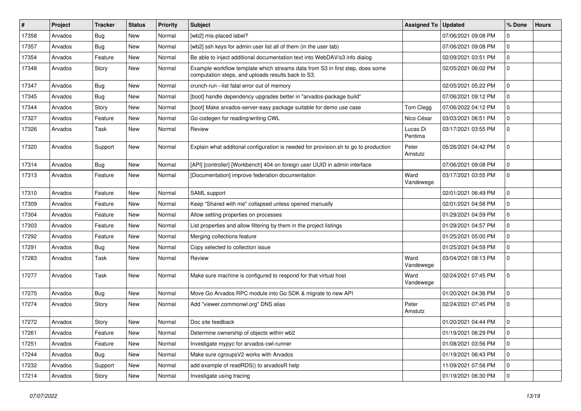| #     | <b>Project</b> | Tracker    | <b>Status</b> | <b>Priority</b> | <b>Subject</b>                                                                                                                      | <b>Assigned To</b>  | <b>Updated</b>      | % Done       | <b>Hours</b> |
|-------|----------------|------------|---------------|-----------------|-------------------------------------------------------------------------------------------------------------------------------------|---------------------|---------------------|--------------|--------------|
| 17358 | Arvados        | Bug        | New           | Normal          | [wb2] mis-placed label?                                                                                                             |                     | 07/06/2021 09:08 PM | $\mathbf 0$  |              |
| 17357 | Arvados        | Bug        | New           | Normal          | [wb2] ssh keys for admin user list all of them (in the user tab)                                                                    |                     | 07/06/2021 09:08 PM | $\mathbf 0$  |              |
| 17354 | Arvados        | Feature    | New           | Normal          | Be able to inject additional documentation text into WebDAV/s3 info dialog                                                          |                     | 02/09/2021 03:51 PM | $\mathbf 0$  |              |
| 17348 | Arvados        | Story      | New           | Normal          | Example workflow template which streams data from S3 in first step, does some<br>computation steps, and uploads results back to S3. |                     | 02/05/2021 06:02 PM | $\mathbf 0$  |              |
| 17347 | Arvados        | <b>Bug</b> | New           | Normal          | crunch-run -- list fatal error out of memory                                                                                        |                     | 02/05/2021 05:22 PM | $\mathbf 0$  |              |
| 17345 | Arvados        | Bug        | New           | Normal          | [boot] handle dependency upgrades better in "arvados-package build"                                                                 |                     | 07/06/2021 09:12 PM | $\mathbf 0$  |              |
| 17344 | Arvados        | Story      | New           | Normal          | [boot] Make arvados-server-easy package suitable for demo use case                                                                  | Tom Clegg           | 07/06/2022 04:12 PM | $\mathbf 0$  |              |
| 17327 | Arvados        | Feature    | New           | Normal          | Go codegen for reading/writing CWL                                                                                                  | Nico César          | 03/03/2021 06:51 PM | $\mathbf 0$  |              |
| 17326 | Arvados        | Task       | New           | Normal          | Review                                                                                                                              | Lucas Di<br>Pentima | 03/17/2021 03:55 PM | $\mathbf 0$  |              |
| 17320 | Arvados        | Support    | New           | Normal          | Explain what additonal configuration is needed for provision.sh to go to production                                                 | Peter<br>Amstutz    | 05/26/2021 04:42 PM | $\mathbf 0$  |              |
| 17314 | Arvados        | <b>Bug</b> | New           | Normal          | [API] [controller] [Workbench] 404 on foreign user UUID in admin interface                                                          |                     | 07/06/2021 09:08 PM | $\mathbf 0$  |              |
| 17313 | Arvados        | Feature    | New           | Normal          | [Documentation] improve federation documentation                                                                                    | Ward<br>Vandewege   | 03/17/2021 03:55 PM | $\mathbf 0$  |              |
| 17310 | Arvados        | Feature    | New           | Normal          | SAML support                                                                                                                        |                     | 02/01/2021 06:49 PM | $\mathbf 0$  |              |
| 17309 | Arvados        | Feature    | <b>New</b>    | Normal          | Keep "Shared with me" collapsed unless opened manually                                                                              |                     | 02/01/2021 04:58 PM | $\mathbf 0$  |              |
| 17304 | Arvados        | Feature    | New           | Normal          | Allow setting properties on processes                                                                                               |                     | 01/29/2021 04:59 PM | $\mathbf 0$  |              |
| 17303 | Arvados        | Feature    | New           | Normal          | List properties and allow filtering by them in the project listings                                                                 |                     | 01/29/2021 04:57 PM | $\mathbf{0}$ |              |
| 17292 | Arvados        | Feature    | <b>New</b>    | Normal          | Merging collections feature                                                                                                         |                     | 01/25/2021 05:00 PM | $\mathbf 0$  |              |
| 17291 | Arvados        | Bug        | New           | Normal          | Copy selected to collection issue                                                                                                   |                     | 01/25/2021 04:59 PM | $\mathbf 0$  |              |
| 17283 | Arvados        | Task       | New           | Normal          | Review                                                                                                                              | Ward<br>Vandewege   | 03/04/2021 08:13 PM | $\mathbf 0$  |              |
| 17277 | Arvados        | Task       | New           | Normal          | Make sure machine is configured to respond for that virtual host                                                                    | Ward<br>Vandewege   | 02/24/2021 07:45 PM | $\mathbf 0$  |              |
| 17275 | Arvados        | Bug        | New           | Normal          | Move Go Arvados RPC module into Go SDK & migrate to new API                                                                         |                     | 01/20/2021 04:36 PM | $\mathbf 0$  |              |
| 17274 | Arvados        | Story      | New           | Normal          | Add "viewer.commonwl.org" DNS alias                                                                                                 | Peter<br>Amstutz    | 02/24/2021 07:45 PM | $\mathbf 0$  |              |
| 17272 | Arvados        | Story      | New           | Normal          | Doc site feedback                                                                                                                   |                     | 01/20/2021 04:44 PM | $\mathbf 0$  |              |
| 17261 | Arvados        | Feature    | New           | Normal          | Determine ownership of objects within wb2                                                                                           |                     | 01/19/2021 06:29 PM | 0            |              |
| 17251 | Arvados        | Feature    | New           | Normal          | Investigate mypyc for arvados-cwl-runner                                                                                            |                     | 01/08/2021 03:56 PM | $\mathbf 0$  |              |
| 17244 | Arvados        | Bug        | New           | Normal          | Make sure cgroupsV2 works with Arvados                                                                                              |                     | 01/19/2021 06:43 PM | $\mathbf 0$  |              |
| 17232 | Arvados        | Support    | New           | Normal          | add example of readRDS() to arvadosR help                                                                                           |                     | 11/09/2021 07:58 PM | $\mathbf 0$  |              |
| 17214 | Arvados        | Story      | New           | Normal          | Investigate using tracing                                                                                                           |                     | 01/19/2021 06:30 PM | 0            |              |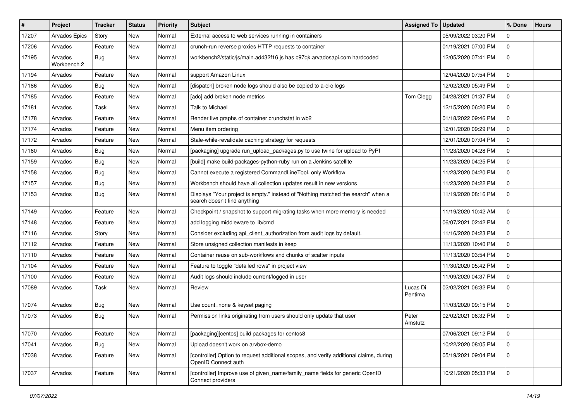| #     | Project                | <b>Tracker</b> | <b>Status</b> | <b>Priority</b> | <b>Subject</b>                                                                                                   | <b>Assigned To</b>  | <b>Updated</b>      | % Done      | <b>Hours</b> |
|-------|------------------------|----------------|---------------|-----------------|------------------------------------------------------------------------------------------------------------------|---------------------|---------------------|-------------|--------------|
| 17207 | Arvados Epics          | Story          | <b>New</b>    | Normal          | External access to web services running in containers                                                            |                     | 05/09/2022 03:20 PM | $\mathbf 0$ |              |
| 17206 | Arvados                | Feature        | <b>New</b>    | Normal          | crunch-run reverse proxies HTTP requests to container                                                            |                     | 01/19/2021 07:00 PM | $\mathbf 0$ |              |
| 17195 | Arvados<br>Workbench 2 | Bug            | New           | Normal          | workbench2/static/js/main.ad432f16.js has c97qk.arvadosapi.com hardcoded                                         |                     | 12/05/2020 07:41 PM | $\mathbf 0$ |              |
| 17194 | Arvados                | Feature        | <b>New</b>    | Normal          | support Amazon Linux                                                                                             |                     | 12/04/2020 07:54 PM | $\mathbf 0$ |              |
| 17186 | Arvados                | Bug            | <b>New</b>    | Normal          | [dispatch] broken node logs should also be copied to a-d-c logs                                                  |                     | 12/02/2020 05:49 PM | $\mathbf 0$ |              |
| 17185 | Arvados                | Feature        | <b>New</b>    | Normal          | [adc] add broken node metrics                                                                                    | Tom Clegg           | 04/28/2021 01:37 PM | $\mathbf 0$ |              |
| 17181 | Arvados                | Task           | New           | Normal          | Talk to Michael                                                                                                  |                     | 12/15/2020 06:20 PM | $\mathbf 0$ |              |
| 17178 | Arvados                | Feature        | New           | Normal          | Render live graphs of container crunchstat in wb2                                                                |                     | 01/18/2022 09:46 PM | $\mathbf 0$ |              |
| 17174 | Arvados                | Feature        | <b>New</b>    | Normal          | Menu item ordering                                                                                               |                     | 12/01/2020 09:29 PM | $\mathbf 0$ |              |
| 17172 | Arvados                | Feature        | <b>New</b>    | Normal          | Stale-while-revalidate caching strategy for requests                                                             |                     | 12/01/2020 07:04 PM | $\mathbf 0$ |              |
| 17160 | Arvados                | Bug            | <b>New</b>    | Normal          | [packaging] upgrade run_upload_packages.py to use twine for upload to PyPI                                       |                     | 11/23/2020 04:28 PM | $\mathbf 0$ |              |
| 17159 | Arvados                | <b>Bug</b>     | <b>New</b>    | Normal          | [build] make build-packages-python-ruby run on a Jenkins satellite                                               |                     | 11/23/2020 04:25 PM | $\mathbf 0$ |              |
| 17158 | Arvados                | <b>Bug</b>     | <b>New</b>    | Normal          | Cannot execute a registered CommandLineTool, only Workflow                                                       |                     | 11/23/2020 04:20 PM | $\mathbf 0$ |              |
| 17157 | Arvados                | <b>Bug</b>     | <b>New</b>    | Normal          | Workbench should have all collection updates result in new versions                                              |                     | 11/23/2020 04:22 PM | $\mathbf 0$ |              |
| 17153 | Arvados                | Bug            | <b>New</b>    | Normal          | Displays "Your project is empty." instead of "Nothing matched the search" when a<br>search doesn't find anything |                     | 11/19/2020 08:16 PM | $\mathbf 0$ |              |
| 17149 | Arvados                | Feature        | <b>New</b>    | Normal          | Checkpoint / snapshot to support migrating tasks when more memory is needed                                      |                     | 11/19/2020 10:42 AM | $\mathbf 0$ |              |
| 17148 | Arvados                | Feature        | <b>New</b>    | Normal          | add logging middleware to lib/cmd                                                                                |                     | 06/07/2021 02:42 PM | $\mathbf 0$ |              |
| 17116 | Arvados                | Story          | <b>New</b>    | Normal          | Consider excluding api_client_authorization from audit logs by default.                                          |                     | 11/16/2020 04:23 PM | $\mathbf 0$ |              |
| 17112 | Arvados                | Feature        | New           | Normal          | Store unsigned collection manifests in keep                                                                      |                     | 11/13/2020 10:40 PM | $\mathbf 0$ |              |
| 17110 | Arvados                | Feature        | New           | Normal          | Container reuse on sub-workflows and chunks of scatter inputs                                                    |                     | 11/13/2020 03:54 PM | $\mathbf 0$ |              |
| 17104 | Arvados                | Feature        | <b>New</b>    | Normal          | Feature to toggle "detailed rows" in project view                                                                |                     | 11/30/2020 05:42 PM | $\mathbf 0$ |              |
| 17100 | Arvados                | Feature        | <b>New</b>    | Normal          | Audit logs should include current/logged in user                                                                 |                     | 11/09/2020 04:37 PM | $\mathbf 0$ |              |
| 17089 | Arvados                | Task           | New           | Normal          | Review                                                                                                           | Lucas Di<br>Pentima | 02/02/2021 06:32 PM | $\mathbf 0$ |              |
| 17074 | Arvados                | Bug            | <b>New</b>    | Normal          | Use count=none & keyset paging                                                                                   |                     | 11/03/2020 09:15 PM | $\mathbf 0$ |              |
| 17073 | Arvados                | Bug            | New           | Normal          | Permission links originating from users should only update that user                                             | Peter<br>Amstutz    | 02/02/2021 06:32 PM | $\mathbf 0$ |              |
| 17070 | Arvados                | Feature        | <b>New</b>    | Normal          | [packaging][centos] build packages for centos8                                                                   |                     | 07/06/2021 09:12 PM | $\mathbf 0$ |              |
| 17041 | Arvados                | <b>Bug</b>     | New           | Normal          | Upload doesn't work on arvbox-demo                                                                               |                     | 10/22/2020 08:05 PM | $\mathbf 0$ |              |
| 17038 | Arvados                | Feature        | New           | Normal          | [controller] Option to request additional scopes, and verify additional claims, during<br>OpenID Connect auth    |                     | 05/19/2021 09:04 PM | $\mathbf 0$ |              |
| 17037 | Arvados                | Feature        | New           | Normal          | [controller] Improve use of given_name/family_name fields for generic OpenID<br>Connect providers                |                     | 10/21/2020 05:33 PM | l 0         |              |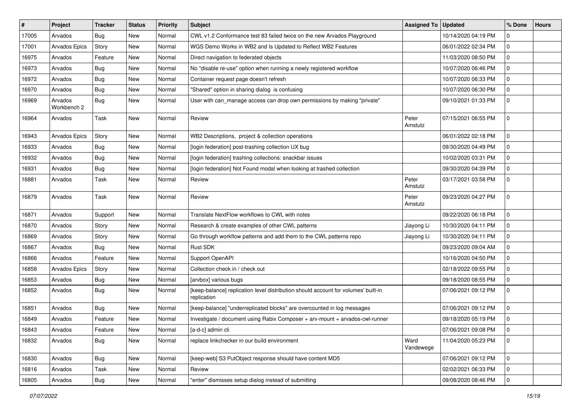| #     | Project                | <b>Tracker</b> | <b>Status</b> | <b>Priority</b> | <b>Subject</b>                                                                                    | <b>Assigned To</b> | <b>Updated</b>      | % Done       | <b>Hours</b> |
|-------|------------------------|----------------|---------------|-----------------|---------------------------------------------------------------------------------------------------|--------------------|---------------------|--------------|--------------|
| 17005 | Arvados                | <b>Bug</b>     | New           | Normal          | CWL v1.2 Conformance test 83 failed twice on the new Arvados Playground                           |                    | 10/14/2020 04:19 PM | $\mathbf 0$  |              |
| 17001 | Arvados Epics          | Story          | <b>New</b>    | Normal          | WGS Demo Works in WB2 and Is Updated to Reflect WB2 Features                                      |                    | 06/01/2022 02:34 PM | $\mathbf 0$  |              |
| 16975 | Arvados                | Feature        | New           | Normal          | Direct navigation to federated objects                                                            |                    | 11/03/2020 08:50 PM | $\mathbf 0$  |              |
| 16973 | Arvados                | Bug            | <b>New</b>    | Normal          | No "disable re-use" option when running a newly registered workflow                               |                    | 10/07/2020 06:46 PM | $\mathbf 0$  |              |
| 16972 | Arvados                | <b>Bug</b>     | <b>New</b>    | Normal          | Container request page doesn't refresh                                                            |                    | 10/07/2020 06:33 PM | $\mathbf 0$  |              |
| 16970 | Arvados                | <b>Bug</b>     | New           | Normal          | "Shared" option in sharing dialog is confusing                                                    |                    | 10/07/2020 06:30 PM | $\mathbf 0$  |              |
| 16969 | Arvados<br>Workbench 2 | <b>Bug</b>     | <b>New</b>    | Normal          | User with can_manage access can drop own permissions by making "private"                          |                    | 09/10/2021 01:33 PM | $\mathbf 0$  |              |
| 16964 | Arvados                | Task           | <b>New</b>    | Normal          | Review                                                                                            | Peter<br>Amstutz   | 07/15/2021 06:55 PM | $\mathbf 0$  |              |
| 16943 | Arvados Epics          | Story          | New           | Normal          | WB2 Descriptions, project & collection operations                                                 |                    | 06/01/2022 02:18 PM | $\mathbf 0$  |              |
| 16933 | Arvados                | Bug            | New           | Normal          | [login federation] post-trashing collection UX bug                                                |                    | 09/30/2020 04:49 PM | $\mathbf 0$  |              |
| 16932 | Arvados                | <b>Bug</b>     | <b>New</b>    | Normal          | [login federation] trashing collections: snackbar issues                                          |                    | 10/02/2020 03:31 PM | $\mathbf 0$  |              |
| 16931 | Arvados                | <b>Bug</b>     | New           | Normal          | [login federation] Not Found modal when looking at trashed collection                             |                    | 09/30/2020 04:39 PM | $\mathbf 0$  |              |
| 16881 | Arvados                | Task           | New           | Normal          | Review                                                                                            | Peter<br>Amstutz   | 03/17/2021 03:58 PM | $\mathbf 0$  |              |
| 16879 | Arvados                | Task           | <b>New</b>    | Normal          | Review                                                                                            | Peter<br>Amstutz   | 09/23/2020 04:27 PM | $\mathbf{0}$ |              |
| 16871 | Arvados                | Support        | <b>New</b>    | Normal          | Translate NextFlow workflows to CWL with notes                                                    |                    | 09/22/2020 06:18 PM | $\mathbf 0$  |              |
| 16870 | Arvados                | Story          | New           | Normal          | Research & create examples of other CWL patterns                                                  | Jiayong Li         | 10/30/2020 04:11 PM | $\mathbf 0$  |              |
| 16869 | Arvados                | Story          | <b>New</b>    | Normal          | Go through workflow patterns and add them to the CWL patterns repo                                | Jiayong Li         | 10/30/2020 04:11 PM | $\mathbf 0$  |              |
| 16867 | Arvados                | <b>Bug</b>     | New           | Normal          | Rust SDK                                                                                          |                    | 09/23/2020 09:04 AM | $\mathbf 0$  |              |
| 16866 | Arvados                | Feature        | <b>New</b>    | Normal          | Support OpenAPI                                                                                   |                    | 10/16/2020 04:50 PM | $\mathbf 0$  |              |
| 16858 | Arvados Epics          | Story          | New           | Normal          | Collection check in / check out                                                                   |                    | 02/18/2022 09:55 PM | 0            |              |
| 16853 | Arvados                | <b>Bug</b>     | New           | Normal          | [arvbox] various bugs                                                                             |                    | 09/18/2020 08:55 PM | $\mathbf 0$  |              |
| 16852 | Arvados                | Bug            | New           | Normal          | [keep-balance] replication level distribution should account for volumes' built-in<br>replication |                    | 07/06/2021 09:12 PM | $\mathbf 0$  |              |
| 16851 | Arvados                | Bug            | <b>New</b>    | Normal          | [keep-balance] "underreplicated blocks" are overcounted in log messages                           |                    | 07/06/2021 09:12 PM | $\mathbf 0$  |              |
| 16849 | Arvados                | Feature        | New           | Normal          | Investigate / document using Rabix Composer + arv-mount + arvados-cwl-runner                      |                    | 09/18/2020 05:19 PM | 0            |              |
| 16843 | Arvados                | Feature        | New           | Normal          | [a-d-c] admin cli                                                                                 |                    | 07/06/2021 09:08 PM | 0            |              |
| 16832 | Arvados                | Bug            | New           | Normal          | replace linkchecker in our build environment                                                      | Ward<br>Vandewege  | 11/04/2020 05:23 PM | $\mathbf 0$  |              |
| 16830 | Arvados                | <b>Bug</b>     | New           | Normal          | [keep-web] S3 PutObject response should have content MD5                                          |                    | 07/06/2021 09:12 PM | $\mathsf 0$  |              |
| 16816 | Arvados                | Task           | New           | Normal          | Review                                                                                            |                    | 02/02/2021 06:33 PM | $\mathbf 0$  |              |
| 16805 | Arvados                | Bug            | New           | Normal          | "enter" dismisses setup dialog instead of submitting                                              |                    | 09/08/2020 08:46 PM | $\mathbf 0$  |              |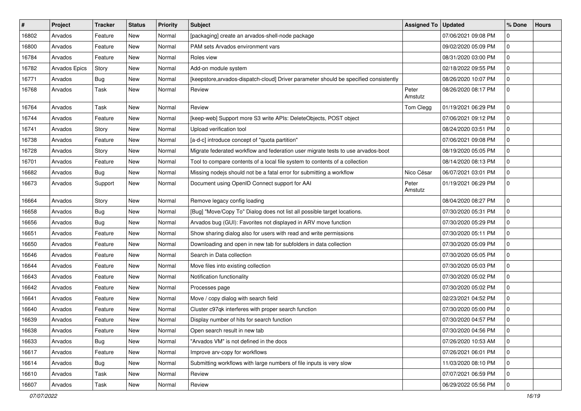| #     | Project       | <b>Tracker</b> | <b>Status</b> | Priority | <b>Subject</b>                                                                        | <b>Assigned To</b> | <b>Updated</b>      | % Done         | <b>Hours</b> |
|-------|---------------|----------------|---------------|----------|---------------------------------------------------------------------------------------|--------------------|---------------------|----------------|--------------|
| 16802 | Arvados       | Feature        | New           | Normal   | [packaging] create an arvados-shell-node package                                      |                    | 07/06/2021 09:08 PM | $\mathbf 0$    |              |
| 16800 | Arvados       | Feature        | New           | Normal   | PAM sets Arvados environment vars                                                     |                    | 09/02/2020 05:09 PM | $\mathbf 0$    |              |
| 16784 | Arvados       | Feature        | <b>New</b>    | Normal   | Roles view                                                                            |                    | 08/31/2020 03:00 PM | $\mathbf 0$    |              |
| 16782 | Arvados Epics | Story          | <b>New</b>    | Normal   | Add-on module system                                                                  |                    | 02/18/2022 09:55 PM | $\mathbf 0$    |              |
| 16771 | Arvados       | Bug            | <b>New</b>    | Normal   | [keepstore, arvados-dispatch-cloud] Driver parameter should be specified consistently |                    | 08/26/2020 10:07 PM | $\mathbf 0$    |              |
| 16768 | Arvados       | Task           | <b>New</b>    | Normal   | Review                                                                                | Peter<br>Amstutz   | 08/26/2020 08:17 PM | $\mathbf 0$    |              |
| 16764 | Arvados       | Task           | <b>New</b>    | Normal   | Review                                                                                | Tom Clegg          | 01/19/2021 06:29 PM | $\mathbf 0$    |              |
| 16744 | Arvados       | Feature        | <b>New</b>    | Normal   | [keep-web] Support more S3 write APIs: DeleteObjects, POST object                     |                    | 07/06/2021 09:12 PM | $\mathbf 0$    |              |
| 16741 | Arvados       | Story          | <b>New</b>    | Normal   | Upload verification tool                                                              |                    | 08/24/2020 03:51 PM | $\mathbf 0$    |              |
| 16738 | Arvados       | Feature        | <b>New</b>    | Normal   | [a-d-c] introduce concept of "quota partition"                                        |                    | 07/06/2021 09:08 PM | $\mathbf 0$    |              |
| 16728 | Arvados       | Story          | <b>New</b>    | Normal   | Migrate federated workflow and federation user migrate tests to use arvados-boot      |                    | 08/19/2020 05:05 PM | $\mathbf 0$    |              |
| 16701 | Arvados       | Feature        | New           | Normal   | Tool to compare contents of a local file system to contents of a collection           |                    | 08/14/2020 08:13 PM | $\mathbf 0$    |              |
| 16682 | Arvados       | <b>Bug</b>     | <b>New</b>    | Normal   | Missing nodejs should not be a fatal error for submitting a workflow                  | Nico César         | 06/07/2021 03:01 PM | $\mathbf 0$    |              |
| 16673 | Arvados       | Support        | <b>New</b>    | Normal   | Document using OpenID Connect support for AAI                                         | Peter<br>Amstutz   | 01/19/2021 06:29 PM | $\overline{0}$ |              |
| 16664 | Arvados       | Story          | <b>New</b>    | Normal   | Remove legacy config loading                                                          |                    | 08/04/2020 08:27 PM | $\mathbf 0$    |              |
| 16658 | Arvados       | Bug            | <b>New</b>    | Normal   | [Bug] "Move/Copy To" Dialog does not list all possible target locations.              |                    | 07/30/2020 05:31 PM | $\mathbf 0$    |              |
| 16656 | Arvados       | <b>Bug</b>     | <b>New</b>    | Normal   | Arvados bug (GUI): Favorites not displayed in ARV move function                       |                    | 07/30/2020 05:29 PM | $\mathbf 0$    |              |
| 16651 | Arvados       | Feature        | <b>New</b>    | Normal   | Show sharing dialog also for users with read and write permissions                    |                    | 07/30/2020 05:11 PM | $\mathbf 0$    |              |
| 16650 | Arvados       | Feature        | New           | Normal   | Downloading and open in new tab for subfolders in data collection                     |                    | 07/30/2020 05:09 PM | $\mathbf 0$    |              |
| 16646 | Arvados       | Feature        | New           | Normal   | Search in Data collection                                                             |                    | 07/30/2020 05:05 PM | $\mathbf 0$    |              |
| 16644 | Arvados       | Feature        | <b>New</b>    | Normal   | Move files into existing collection                                                   |                    | 07/30/2020 05:03 PM | 0              |              |
| 16643 | Arvados       | Feature        | New           | Normal   | Notification functionality                                                            |                    | 07/30/2020 05:02 PM | $\mathbf 0$    |              |
| 16642 | Arvados       | Feature        | <b>New</b>    | Normal   | Processes page                                                                        |                    | 07/30/2020 05:02 PM | $\mathbf 0$    |              |
| 16641 | Arvados       | Feature        | New           | Normal   | Move / copy dialog with search field                                                  |                    | 02/23/2021 04:52 PM | $\mathbf 0$    |              |
| 16640 | Arvados       | Feature        | New           | Normal   | Cluster c97qk interferes with proper search function                                  |                    | 07/30/2020 05:00 PM | $\mathbf 0$    |              |
| 16639 | Arvados       | Feature        | <b>New</b>    | Normal   | Display number of hits for search function                                            |                    | 07/30/2020 04:57 PM | $\mathbf 0$    |              |
| 16638 | Arvados       | Feature        | New           | Normal   | Open search result in new tab                                                         |                    | 07/30/2020 04:56 PM | 10             |              |
| 16633 | Arvados       | <b>Bug</b>     | New           | Normal   | "Arvados VM" is not defined in the docs                                               |                    | 07/26/2020 10:53 AM | $\overline{0}$ |              |
| 16617 | Arvados       | Feature        | New           | Normal   | Improve arv-copy for workflows                                                        |                    | 07/26/2021 06:01 PM | $\overline{0}$ |              |
| 16614 | Arvados       | Bug            | New           | Normal   | Submitting workflows with large numbers of file inputs is very slow                   |                    | 11/03/2020 08:10 PM | 0              |              |
| 16610 | Arvados       | Task           | New           | Normal   | Review                                                                                |                    | 07/07/2021 06:59 PM | $\overline{0}$ |              |
| 16607 | Arvados       | Task           | New           | Normal   | Review                                                                                |                    | 06/29/2022 05:56 PM | 0              |              |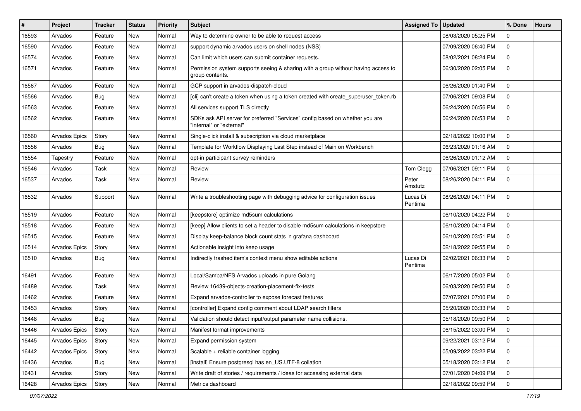| #     | Project       | Tracker    | <b>Status</b> | Priority | <b>Subject</b>                                                                                           | <b>Assigned To</b>  | <b>Updated</b>      | % Done       | <b>Hours</b> |
|-------|---------------|------------|---------------|----------|----------------------------------------------------------------------------------------------------------|---------------------|---------------------|--------------|--------------|
| 16593 | Arvados       | Feature    | New           | Normal   | Way to determine owner to be able to request access                                                      |                     | 08/03/2020 05:25 PM | $\Omega$     |              |
| 16590 | Arvados       | Feature    | New           | Normal   | support dynamic arvados users on shell nodes (NSS)                                                       |                     | 07/09/2020 06:40 PM | $\mathbf 0$  |              |
| 16574 | Arvados       | Feature    | New           | Normal   | Can limit which users can submit container requests.                                                     |                     | 08/02/2021 08:24 PM | $\mathbf 0$  |              |
| 16571 | Arvados       | Feature    | New           | Normal   | Permission system supports seeing & sharing with a group without having access to<br>group contents.     |                     | 06/30/2020 02:05 PM | $\mathbf 0$  |              |
| 16567 | Arvados       | Feature    | New           | Normal   | GCP support in arvados-dispatch-cloud                                                                    |                     | 06/26/2020 01:40 PM | 0            |              |
| 16566 | Arvados       | <b>Bug</b> | <b>New</b>    | Normal   | [cli] can't create a token when using a token created with create_superuser_token.rb                     |                     | 07/06/2021 09:08 PM | $\mathbf 0$  |              |
| 16563 | Arvados       | Feature    | New           | Normal   | All services support TLS directly                                                                        |                     | 06/24/2020 06:56 PM | $\mathbf 0$  |              |
| 16562 | Arvados       | Feature    | New           | Normal   | SDKs ask API server for preferred "Services" config based on whether you are<br>"internal" or "external" |                     | 06/24/2020 06:53 PM | $\mathbf 0$  |              |
| 16560 | Arvados Epics | Story      | New           | Normal   | Single-click install & subscription via cloud marketplace                                                |                     | 02/18/2022 10:00 PM | $\mathbf 0$  |              |
| 16556 | Arvados       | Bug        | New           | Normal   | Template for Workflow Displaying Last Step instead of Main on Workbench                                  |                     | 06/23/2020 01:16 AM | $\mathbf 0$  |              |
| 16554 | Tapestry      | Feature    | New           | Normal   | opt-in participant survey reminders                                                                      |                     | 06/26/2020 01:12 AM | $\mathbf 0$  |              |
| 16546 | Arvados       | Task       | New           | Normal   | Review                                                                                                   | Tom Clegg           | 07/06/2021 09:11 PM | $\mathbf 0$  |              |
| 16537 | Arvados       | Task       | New           | Normal   | Review                                                                                                   | Peter<br>Amstutz    | 08/26/2020 04:11 PM | $\Omega$     |              |
| 16532 | Arvados       | Support    | New           | Normal   | Write a troubleshooting page with debugging advice for configuration issues                              | Lucas Di<br>Pentima | 08/26/2020 04:11 PM | $\mathbf 0$  |              |
| 16519 | Arvados       | Feature    | New           | Normal   | [keepstore] optimize md5sum calculations                                                                 |                     | 06/10/2020 04:22 PM | $\mathbf 0$  |              |
| 16518 | Arvados       | Feature    | New           | Normal   | [keep] Allow clients to set a header to disable md5sum calculations in keepstore                         |                     | 06/10/2020 04:14 PM | $\mathbf 0$  |              |
| 16515 | Arvados       | Feature    | New           | Normal   | Display keep-balance block count stats in grafana dashboard                                              |                     | 06/10/2020 03:51 PM | $\mathbf 0$  |              |
| 16514 | Arvados Epics | Story      | New           | Normal   | Actionable insight into keep usage                                                                       |                     | 02/18/2022 09:55 PM | $\mathbf 0$  |              |
| 16510 | Arvados       | <b>Bug</b> | New           | Normal   | Indirectly trashed item's context menu show editable actions                                             | Lucas Di<br>Pentima | 02/02/2021 06:33 PM | $\mathbf{0}$ |              |
| 16491 | Arvados       | Feature    | New           | Normal   | Local/Samba/NFS Arvados uploads in pure Golang                                                           |                     | 06/17/2020 05:02 PM | $\mathbf 0$  |              |
| 16489 | Arvados       | Task       | <b>New</b>    | Normal   | Review 16439-objects-creation-placement-fix-tests                                                        |                     | 06/03/2020 09:50 PM | 0            |              |
| 16462 | Arvados       | Feature    | New           | Normal   | Expand arvados-controller to expose forecast features                                                    |                     | 07/07/2021 07:00 PM | $\mathbf 0$  |              |
| 16453 | Arvados       | Story      | New           | Normal   | [controller] Expand config comment about LDAP search filters                                             |                     | 05/20/2020 03:33 PM | $\mathbf 0$  |              |
| 16448 | Arvados       | <b>Bug</b> | New           | Normal   | Validation should detect input/output parameter name collisions.                                         |                     | 05/18/2020 09:50 PM | 0            |              |
| 16446 | Arvados Epics | Story      | New           | Normal   | Manifest format improvements                                                                             |                     | 06/15/2022 03:00 PM | 0            |              |
| 16445 | Arvados Epics | Story      | New           | Normal   | Expand permission system                                                                                 |                     | 09/22/2021 03:12 PM | $\mathbf 0$  |              |
| 16442 | Arvados Epics | Story      | New           | Normal   | Scalable + reliable container logging                                                                    |                     | 05/09/2022 03:22 PM | $\mathbf 0$  |              |
| 16436 | Arvados       | Bug        | New           | Normal   | [install] Ensure postgresql has en US.UTF-8 collation                                                    |                     | 05/18/2020 03:12 PM | $\mathbf 0$  |              |
| 16431 | Arvados       | Story      | New           | Normal   | Write draft of stories / requirements / ideas for accessing external data                                |                     | 07/01/2020 04:09 PM | $\mathbf 0$  |              |
| 16428 | Arvados Epics | Story      | New           | Normal   | Metrics dashboard                                                                                        |                     | 02/18/2022 09:59 PM | $\mathbf 0$  |              |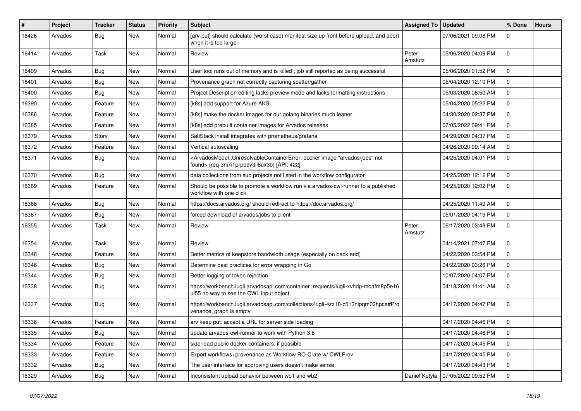| #     | Project | Tracker    | <b>Status</b> | Priority | <b>Subject</b>                                                                                                                                                                           | <b>Assigned To</b> | <b>Updated</b>      | % Done      | <b>Hours</b> |
|-------|---------|------------|---------------|----------|------------------------------------------------------------------------------------------------------------------------------------------------------------------------------------------|--------------------|---------------------|-------------|--------------|
| 16426 | Arvados | <b>Bug</b> | New           | Normal   | [arv-put] should calculate (worst case) manifest size up front before upload, and abort<br>when it is too large                                                                          |                    | 07/06/2021 09:08 PM | $\mathbf 0$ |              |
| 16414 | Arvados | Task       | <b>New</b>    | Normal   | Review                                                                                                                                                                                   | Peter<br>Amstutz   | 05/06/2020 04:09 PM | $\mathbf 0$ |              |
| 16409 | Arvados | <b>Bug</b> | <b>New</b>    | Normal   | User tool runs out of memory and is killed; job still reported as being successful                                                                                                       |                    | 05/06/2020 01:52 PM | $\mathbf 0$ |              |
| 16401 | Arvados | <b>Bug</b> | New           | Normal   | Provenance graph not correctly capturing scatter/gather                                                                                                                                  |                    | 05/04/2020 12:10 PM | $\mathbf 0$ |              |
| 16400 | Arvados | <b>Bug</b> | <b>New</b>    | Normal   | Project Description editing lacks preview mode and lacks formatting instructions                                                                                                         |                    | 05/03/2020 08:50 AM | $\mathbf 0$ |              |
| 16390 | Arvados | Feature    | New           | Normal   | [k8s] add support for Azure AKS                                                                                                                                                          |                    | 05/04/2020 05:22 PM | 0           |              |
| 16386 | Arvados | Feature    | New           | Normal   | [k8s] make the docker images for our golang binaries much leaner                                                                                                                         |                    | 04/30/2020 02:37 PM | $\mathbf 0$ |              |
| 16385 | Arvados | Feature    | New           | Normal   | [k8s] add prebuilt container images for Arvados releases                                                                                                                                 |                    | 07/05/2022 09:41 PM | $\mathbf 0$ |              |
| 16379 | Arvados | Story      | New           | Normal   | SaltStack install integrates with prometheus/grafana                                                                                                                                     |                    | 04/29/2020 04:37 PM | $\mathbf 0$ |              |
| 16372 | Arvados | Feature    | <b>New</b>    | Normal   | Vertical autoscaling                                                                                                                                                                     |                    | 04/26/2020 09:14 AM | $\mathbf 0$ |              |
| 16371 | Arvados | <b>Bug</b> | New           | Normal   | <arvadosmodel::unresolvablecontainererror: "arvados="" docker="" image="" jobs"="" not<br="">found&gt; (req-3ni7i1prpb9v3ii8ux3b) [API: 422]</arvadosmodel::unresolvablecontainererror:> |                    | 04/25/2020 04:01 PM | $\mathbf 0$ |              |
| 16370 | Arvados | <b>Bug</b> | <b>New</b>    | Normal   | data collections from sub projects not listed in the workflow configurator                                                                                                               |                    | 04/25/2020 12:12 PM | $\mathbf 0$ |              |
| 16369 | Arvados | Feature    | New           | Normal   | Should be possible to promote a workflow run via arvados-cwl-runner to a published<br>workflow with one click                                                                            |                    | 04/25/2020 12:02 PM | $\mathbf 0$ |              |
| 16368 | Arvados | Bug        | <b>New</b>    | Normal   | https://docs.arvados.org/ should redirect to https://doc.arvados.org/                                                                                                                    |                    | 04/25/2020 11:49 AM | $\mathbf 0$ |              |
| 16367 | Arvados | <b>Bug</b> | <b>New</b>    | Normal   | forced download of arvados/jobs to client                                                                                                                                                |                    | 05/01/2020 04:19 PM | $\mathbf 0$ |              |
| 16355 | Arvados | Task       | New           | Normal   | Review                                                                                                                                                                                   | Peter<br>Amstutz   | 06/17/2020 03:48 PM | $\mathbf 0$ |              |
| 16354 | Arvados | Task       | New           | Normal   | Review                                                                                                                                                                                   |                    | 04/14/2021 07:47 PM | $\mathbf 0$ |              |
| 16348 | Arvados | Feature    | <b>New</b>    | Normal   | Better metrics of keepstore bandwidth usage (especially on back end)                                                                                                                     |                    | 04/22/2020 03:54 PM | $\mathbf 0$ |              |
| 16346 | Arvados | Bug        | New           | Normal   | Determine best practices for error wrapping in Go                                                                                                                                        |                    | 04/22/2020 03:26 PM | 0           |              |
| 16344 | Arvados | <b>Bug</b> | New           | Normal   | Better logging of token rejection                                                                                                                                                        |                    | 10/07/2020 04:07 PM | $\mathbf 0$ |              |
| 16338 | Arvados | Bug        | New           | Normal   | https://workbench.lugli.arvadosapi.com/container_requests/lugli-xvhdp-moafm8p5e16<br>ul55 no way to see the CWL input object                                                             |                    | 04/18/2020 11:41 AM | $\mathbf 0$ |              |
| 16337 | Arvados | Bug        | New           | Normal   | https://workbench.lugli.arvadosapi.com/collections/lugli-4zz18-z513nlpqm03hpca#Pro<br>venance_graph is empty                                                                             |                    | 04/17/2020 04:47 PM | $\mathbf 0$ |              |
| 16336 | Arvados | Feature    | <b>New</b>    | Normal   | arv keep put: accept a URL for server side loading                                                                                                                                       |                    | 04/17/2020 04:46 PM | $\mathbf 0$ |              |
| 16335 | Arvados | <b>Bug</b> | New           | Normal   | update arvados-cwl-runner to work with Python 3.8                                                                                                                                        |                    | 04/17/2020 04:46 PM | l 0         |              |
| 16334 | Arvados | Feature    | New           | Normal   | side-load public docker containers, if possible                                                                                                                                          |                    | 04/17/2020 04:45 PM | $\mathbf 0$ |              |
| 16333 | Arvados | Feature    | New           | Normal   | Export workflows+provenance as Workflow RO-Crate w/ CWLProv                                                                                                                              |                    | 04/17/2020 04:45 PM | $\mathbf 0$ |              |
| 16332 | Arvados | <b>Bug</b> | New           | Normal   | The user interface for approving users doesn't make sense                                                                                                                                |                    | 04/17/2020 04:43 PM | $\mathbf 0$ |              |
| 16329 | Arvados | <b>Bug</b> | New           | Normal   | Inconsistent upload behavior between wb1 and wb2                                                                                                                                         | Daniel Kutyła      | 07/05/2022 09:52 PM | $\mathbf 0$ |              |